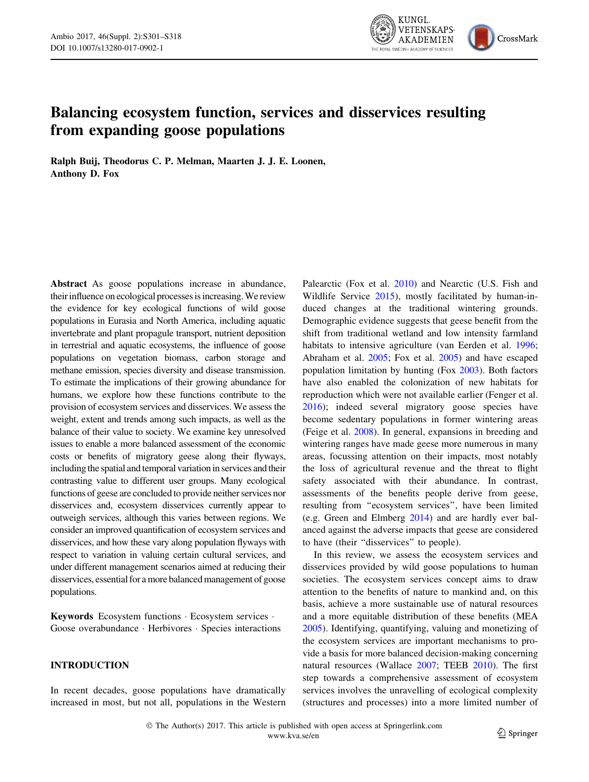

# Balancing ecosystem function, services and disservices resulting from expanding goose populations

Ralph Buij, Theodorus C. P. Melman, Maarten J. J. E. Loonen, Anthony D. Fox

Abstract As goose populations increase in abundance, their influence on ecological processes is increasing. We review the evidence for key ecological functions of wild goose populations in Eurasia and North America, including aquatic invertebrate and plant propagule transport, nutrient deposition in terrestrial and aquatic ecosystems, the influence of goose populations on vegetation biomass, carbon storage and methane emission, species diversity and disease transmission. To estimate the implications of their growing abundance for humans, we explore how these functions contribute to the provision of ecosystem services and disservices. We assess the weight, extent and trends among such impacts, as well as the balance of their value to society. We examine key unresolved issues to enable a more balanced assessment of the economic costs or benefits of migratory geese along their flyways, including the spatial and temporal variation in services and their contrasting value to different user groups. Many ecological functions of geese are concluded to provide neither services nor disservices and, ecosystem disservices currently appear to outweigh services, although this varies between regions. We consider an improved quantification of ecosystem services and disservices, and how these vary along population flyways with respect to variation in valuing certain cultural services, and under different management scenarios aimed at reducing their disservices, essential for a more balanced management of goose populations.

Keywords Ecosystem functions - Ecosystem services - Goose overabundance - Herbivores - Species interactions

# INTRODUCTION

In recent decades, goose populations have dramatically increased in most, but not all, populations in the Western Palearctic (Fox et al. [2010\)](#page-13-0) and Nearctic (U.S. Fish and Wildlife Service [2015\)](#page-16-0), mostly facilitated by human-induced changes at the traditional wintering grounds. Demographic evidence suggests that geese benefit from the shift from traditional wetland and low intensity farmland habitats to intensive agriculture (van Eerden et al. [1996](#page-16-0); Abraham et al. [2005](#page-11-0); Fox et al. [2005\)](#page-13-0) and have escaped population limitation by hunting (Fox [2003\)](#page-13-0). Both factors have also enabled the colonization of new habitats for reproduction which were not available earlier (Fenger et al. [2016](#page-13-0)); indeed several migratory goose species have become sedentary populations in former wintering areas (Feige et al. [2008\)](#page-13-0). In general, expansions in breeding and wintering ranges have made geese more numerous in many areas, focussing attention on their impacts, most notably the loss of agricultural revenue and the threat to flight safety associated with their abundance. In contrast, assessments of the benefits people derive from geese, resulting from ''ecosystem services'', have been limited (e.g. Green and Elmberg [2014](#page-13-0)) and are hardly ever balanced against the adverse impacts that geese are considered to have (their ''disservices'' to people).

In this review, we assess the ecosystem services and disservices provided by wild goose populations to human societies. The ecosystem services concept aims to draw attention to the benefits of nature to mankind and, on this basis, achieve a more sustainable use of natural resources and a more equitable distribution of these benefits (MEA [2005](#page-15-0)). Identifying, quantifying, valuing and monetizing of the ecosystem services are important mechanisms to provide a basis for more balanced decision-making concerning natural resources (Wallace [2007;](#page-17-0) TEEB [2010](#page-16-0)). The first step towards a comprehensive assessment of ecosystem services involves the unravelling of ecological complexity (structures and processes) into a more limited number of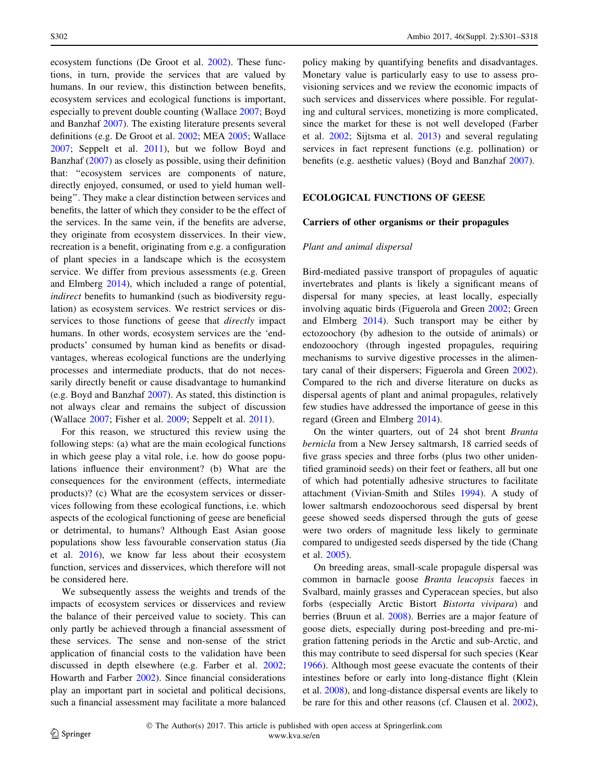ecosystem functions (De Groot et al. [2002](#page-12-0)). These functions, in turn, provide the services that are valued by humans. In our review, this distinction between benefits, ecosystem services and ecological functions is important, especially to prevent double counting (Wallace [2007](#page-17-0); Boyd and Banzhaf [2007](#page-12-0)). The existing literature presents several definitions (e.g. De Groot et al. [2002;](#page-12-0) MEA [2005;](#page-15-0) Wallace [2007;](#page-17-0) Seppelt et al. [2011\)](#page-16-0), but we follow Boyd and Banzhaf [\(2007](#page-12-0)) as closely as possible, using their definition that: ''ecosystem services are components of nature, directly enjoyed, consumed, or used to yield human wellbeing''. They make a clear distinction between services and benefits, the latter of which they consider to be the effect of the services. In the same vein, if the benefits are adverse, they originate from ecosystem disservices. In their view, recreation is a benefit, originating from e.g. a configuration of plant species in a landscape which is the ecosystem service. We differ from previous assessments (e.g. Green and Elmberg [2014\)](#page-13-0), which included a range of potential, indirect benefits to humankind (such as biodiversity regulation) as ecosystem services. We restrict services or disservices to those functions of geese that *directly* impact humans. In other words, ecosystem services are the 'endproducts' consumed by human kind as benefits or disadvantages, whereas ecological functions are the underlying processes and intermediate products, that do not necessarily directly benefit or cause disadvantage to humankind (e.g. Boyd and Banzhaf [2007](#page-12-0)). As stated, this distinction is not always clear and remains the subject of discussion (Wallace [2007;](#page-17-0) Fisher et al. [2009;](#page-13-0) Seppelt et al. [2011\)](#page-16-0).

For this reason, we structured this review using the following steps: (a) what are the main ecological functions in which geese play a vital role, i.e. how do goose populations influence their environment? (b) What are the consequences for the environment (effects, intermediate products)? (c) What are the ecosystem services or disservices following from these ecological functions, i.e. which aspects of the ecological functioning of geese are beneficial or detrimental, to humans? Although East Asian goose populations show less favourable conservation status (Jia et al. [2016\)](#page-14-0), we know far less about their ecosystem function, services and disservices, which therefore will not be considered here.

We subsequently assess the weights and trends of the impacts of ecosystem services or disservices and review the balance of their perceived value to society. This can only partly be achieved through a financial assessment of these services. The sense and non-sense of the strict application of financial costs to the validation have been discussed in depth elsewhere (e.g. Farber et al. [2002](#page-13-0); Howarth and Farber [2002\)](#page-14-0). Since financial considerations play an important part in societal and political decisions, such a financial assessment may facilitate a more balanced

policy making by quantifying benefits and disadvantages. Monetary value is particularly easy to use to assess provisioning services and we review the economic impacts of such services and disservices where possible. For regulating and cultural services, monetizing is more complicated, since the market for these is not well developed (Farber et al. [2002](#page-13-0); Sijtsma et al. [2013\)](#page-16-0) and several regulating services in fact represent functions (e.g. pollination) or benefits (e.g. aesthetic values) (Boyd and Banzhaf [2007](#page-12-0)).

# ECOLOGICAL FUNCTIONS OF GEESE

#### Carriers of other organisms or their propagules

### Plant and animal dispersal

Bird-mediated passive transport of propagules of aquatic invertebrates and plants is likely a significant means of dispersal for many species, at least locally, especially involving aquatic birds (Figuerola and Green [2002;](#page-13-0) Green and Elmberg [2014](#page-13-0)). Such transport may be either by ectozoochory (by adhesion to the outside of animals) or endozoochory (through ingested propagules, requiring mechanisms to survive digestive processes in the alimentary canal of their dispersers; Figuerola and Green [2002](#page-13-0)). Compared to the rich and diverse literature on ducks as dispersal agents of plant and animal propagules, relatively few studies have addressed the importance of geese in this regard (Green and Elmberg [2014\)](#page-13-0).

On the winter quarters, out of 24 shot brent Branta bernicla from a New Jersey saltmarsh, 18 carried seeds of five grass species and three forbs (plus two other unidentified graminoid seeds) on their feet or feathers, all but one of which had potentially adhesive structures to facilitate attachment (Vivian-Smith and Stiles [1994\)](#page-17-0). A study of lower saltmarsh endozoochorous seed dispersal by brent geese showed seeds dispersed through the guts of geese were two orders of magnitude less likely to germinate compared to undigested seeds dispersed by the tide (Chang et al. [2005\)](#page-12-0).

On breeding areas, small-scale propagule dispersal was common in barnacle goose Branta leucopsis faeces in Svalbard, mainly grasses and Cyperacean species, but also forbs (especially Arctic Bistort Bistorta vivipara) and berries (Bruun et al. [2008](#page-12-0)). Berries are a major feature of goose diets, especially during post-breeding and pre-migration fattening periods in the Arctic and sub-Arctic, and this may contribute to seed dispersal for such species (Kear [1966](#page-14-0)). Although most geese evacuate the contents of their intestines before or early into long-distance flight (Klein et al. [2008](#page-14-0)), and long-distance dispersal events are likely to be rare for this and other reasons (cf. Clausen et al. [2002](#page-12-0)),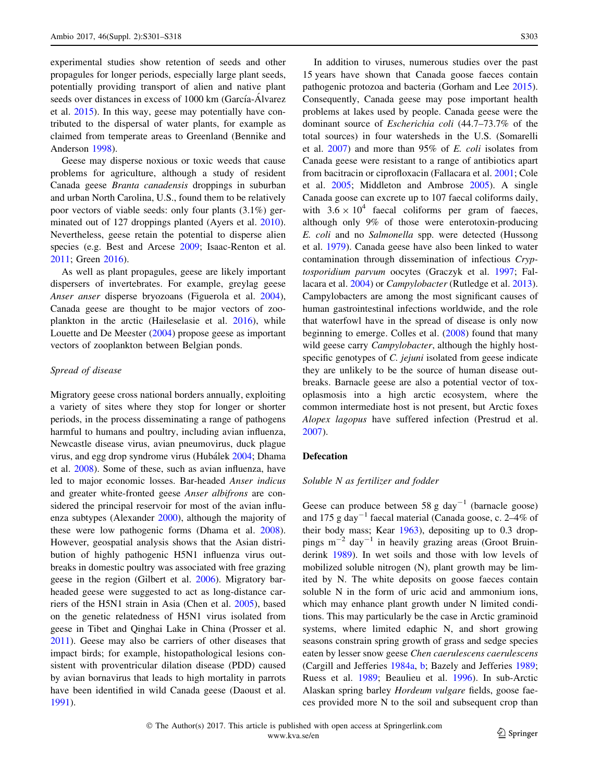experimental studies show retention of seeds and other propagules for longer periods, especially large plant seeds, potentially providing transport of alien and native plant seeds over distances in excess of 1000 km (García-Álvarez et al. [2015\)](#page-13-0). In this way, geese may potentially have contributed to the dispersal of water plants, for example as claimed from temperate areas to Greenland (Bennike and Anderson [1998](#page-12-0)).

Geese may disperse noxious or toxic weeds that cause problems for agriculture, although a study of resident Canada geese Branta canadensis droppings in suburban and urban North Carolina, U.S., found them to be relatively poor vectors of viable seeds: only four plants (3.1%) germinated out of 127 droppings planted (Ayers et al. [2010](#page-11-0)). Nevertheless, geese retain the potential to disperse alien species (e.g. Best and Arcese [2009;](#page-12-0) Isaac-Renton et al. [2011;](#page-14-0) Green [2016\)](#page-13-0).

As well as plant propagules, geese are likely important dispersers of invertebrates. For example, greylag geese Anser anser disperse bryozoans (Figuerola et al. [2004](#page-13-0)), Canada geese are thought to be major vectors of zooplankton in the arctic (Haileselasie et al. [2016\)](#page-13-0), while Louette and De Meester [\(2004\)](#page-14-0) propose geese as important vectors of zooplankton between Belgian ponds.

# Spread of disease

Migratory geese cross national borders annually, exploiting a variety of sites where they stop for longer or shorter periods, in the process disseminating a range of pathogens harmful to humans and poultry, including avian influenza, Newcastle disease virus, avian pneumovirus, duck plague virus, and egg drop syndrome virus (Hubálek [2004;](#page-14-0) Dhama et al. [2008\)](#page-12-0). Some of these, such as avian influenza, have led to major economic losses. Bar-headed Anser indicus and greater white-fronted geese Anser albifrons are considered the principal reservoir for most of the avian influenza subtypes (Alexander [2000\)](#page-11-0), although the majority of these were low pathogenic forms (Dhama et al. [2008](#page-12-0)). However, geospatial analysis shows that the Asian distribution of highly pathogenic H5N1 influenza virus outbreaks in domestic poultry was associated with free grazing geese in the region (Gilbert et al. [2006\)](#page-13-0). Migratory barheaded geese were suggested to act as long-distance carriers of the H5N1 strain in Asia (Chen et al. [2005](#page-12-0)), based on the genetic relatedness of H5N1 virus isolated from geese in Tibet and Qinghai Lake in China (Prosser et al. [2011\)](#page-15-0). Geese may also be carriers of other diseases that impact birds; for example, histopathological lesions consistent with proventricular dilation disease (PDD) caused by avian bornavirus that leads to high mortality in parrots have been identified in wild Canada geese (Daoust et al. [1991\)](#page-12-0).

In addition to viruses, numerous studies over the past 15 years have shown that Canada goose faeces contain pathogenic protozoa and bacteria (Gorham and Lee [2015](#page-13-0)). Consequently, Canada geese may pose important health problems at lakes used by people. Canada geese were the dominant source of Escherichia coli (44.7–73.7% of the total sources) in four watersheds in the U.S. (Somarelli et al. [2007](#page-16-0)) and more than 95% of E. coli isolates from Canada geese were resistant to a range of antibiotics apart from bacitracin or ciprofloxacin (Fallacara et al. [2001](#page-12-0); Cole et al. [2005](#page-12-0); Middleton and Ambrose [2005](#page-15-0)). A single Canada goose can excrete up to 107 faecal coliforms daily, with  $3.6 \times 10^4$  faecal coliforms per gram of faeces, although only 9% of those were enterotoxin-producing E. coli and no Salmonella spp. were detected (Hussong et al. [1979\)](#page-14-0). Canada geese have also been linked to water contamination through dissemination of infectious Cryptosporidium parvum oocytes (Graczyk et al. [1997](#page-13-0); Fallacara et al. [2004](#page-12-0)) or Campylobacter (Rutledge et al. [2013](#page-16-0)). Campylobacters are among the most significant causes of human gastrointestinal infections worldwide, and the role that waterfowl have in the spread of disease is only now beginning to emerge. Colles et al. ([2008\)](#page-12-0) found that many wild geese carry *Campylobacter*, although the highly hostspecific genotypes of *C. jejuni* isolated from geese indicate they are unlikely to be the source of human disease outbreaks. Barnacle geese are also a potential vector of toxoplasmosis into a high arctic ecosystem, where the common intermediate host is not present, but Arctic foxes Alopex lagopus have suffered infection (Prestrud et al. [2007](#page-15-0)).

#### Defecation

#### Soluble N as fertilizer and fodder

Geese can produce between 58 g day<sup>-1</sup> (barnacle goose) and 175 g day<sup>-1</sup> faecal material (Canada goose, c.  $2-4\%$  of their body mass; Kear [1963\)](#page-14-0), depositing up to 0.3 droppings  $m^{-2}$  day<sup>-1</sup> in heavily grazing areas (Groot Bruinderink [1989](#page-13-0)). In wet soils and those with low levels of mobilized soluble nitrogen (N), plant growth may be limited by N. The white deposits on goose faeces contain soluble N in the form of uric acid and ammonium ions, which may enhance plant growth under N limited conditions. This may particularly be the case in Arctic graminoid systems, where limited edaphic N, and short growing seasons constrain spring growth of grass and sedge species eaten by lesser snow geese Chen caerulescens caerulescens (Cargill and Jefferies [1984a](#page-12-0), [b](#page-12-0); Bazely and Jefferies [1989](#page-11-0); Ruess et al. [1989](#page-16-0); Beaulieu et al. [1996\)](#page-11-0). In sub-Arctic Alaskan spring barley Hordeum vulgare fields, goose faeces provided more N to the soil and subsequent crop than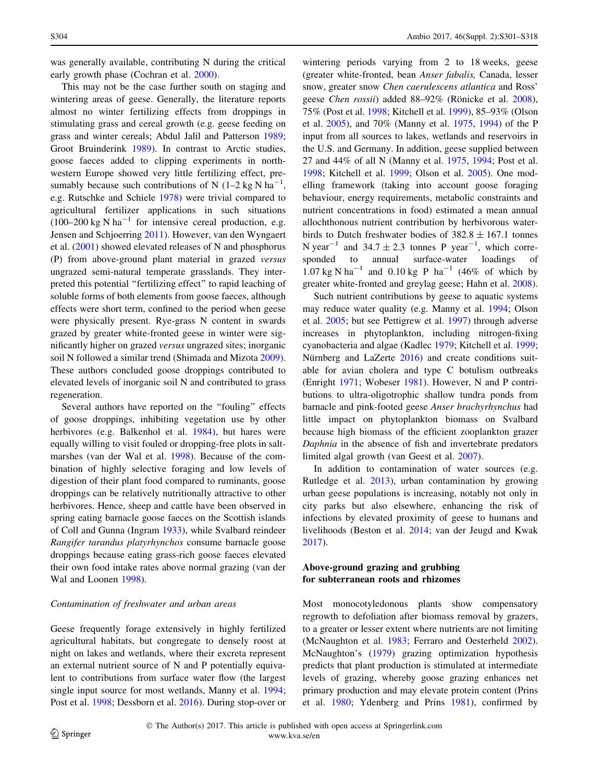was generally available, contributing N during the critical early growth phase (Cochran et al. [2000](#page-12-0)).

This may not be the case further south on staging and wintering areas of geese. Generally, the literature reports almost no winter fertilizing effects from droppings in stimulating grass and cereal growth (e.g. geese feeding on grass and winter cereals; Abdul Jalil and Patterson [1989](#page-11-0); Groot Bruinderink [1989](#page-13-0)). In contrast to Arctic studies, goose faeces added to clipping experiments in northwestern Europe showed very little fertilizing effect, presumably because such contributions of N  $(1-2 \text{ kg N ha}^{-1})$ , e.g. Rutschke and Schiele [1978\)](#page-16-0) were trivial compared to agricultural fertilizer applications in such situations  $(100-200 \text{ kg N} \text{h}a^{-1}$  for intensive cereal production, e.g. Jensen and Schjoerring [2011](#page-14-0)). However, van den Wyngaert et al. [\(2001](#page-16-0)) showed elevated releases of N and phosphorus (P) from above-ground plant material in grazed versus ungrazed semi-natural temperate grasslands. They interpreted this potential ''fertilizing effect'' to rapid leaching of soluble forms of both elements from goose faeces, although effects were short term, confined to the period when geese were physically present. Rye-grass N content in swards grazed by greater white-fronted geese in winter were significantly higher on grazed versus ungrazed sites; inorganic soil N followed a similar trend (Shimada and Mizota [2009](#page-16-0)). These authors concluded goose droppings contributed to elevated levels of inorganic soil N and contributed to grass regeneration.

Several authors have reported on the ''fouling'' effects of goose droppings, inhibiting vegetation use by other herbivores (e.g. Balkenhol et al. [1984\)](#page-11-0), but hares were equally willing to visit fouled or dropping-free plots in saltmarshes (van der Wal et al. [1998](#page-16-0)). Because of the combination of highly selective foraging and low levels of digestion of their plant food compared to ruminants, goose droppings can be relatively nutritionally attractive to other herbivores. Hence, sheep and cattle have been observed in spring eating barnacle goose faeces on the Scottish islands of Coll and Gunna (Ingram [1933](#page-14-0)), while Svalbard reindeer Rangifer tarandus platyrhynchos consume barnacle goose droppings because eating grass-rich goose faeces elevated their own food intake rates above normal grazing (van der Wal and Loonen [1998\)](#page-16-0).

#### Contamination of freshwater and urban areas

Geese frequently forage extensively in highly fertilized agricultural habitats, but congregate to densely roost at night on lakes and wetlands, where their excreta represent an external nutrient source of N and P potentially equivalent to contributions from surface water flow (the largest single input source for most wetlands, Manny et al. [1994](#page-14-0); Post et al. [1998](#page-15-0); Dessborn et al. [2016](#page-12-0)). During stop-over or

wintering periods varying from 2 to 18 weeks, geese (greater white-fronted, bean Anser fabalis, Canada, lesser snow, greater snow Chen caerulescens atlantica and Ross' geese Chen rossii) added 88–92% (Rönicke et al. [2008](#page-16-0)), 75% (Post et al. [1998;](#page-15-0) Kitchell et al. [1999](#page-14-0)), 85–93% (Olson et al. [2005](#page-15-0)), and 70% (Manny et al. [1975](#page-15-0), [1994](#page-14-0)) of the P input from all sources to lakes, wetlands and reservoirs in the U.S. and Germany. In addition, geese supplied between 27 and 44% of all N (Manny et al. [1975,](#page-15-0) [1994;](#page-14-0) Post et al. [1998](#page-15-0); Kitchell et al. [1999;](#page-14-0) Olson et al. [2005\)](#page-15-0). One modelling framework (taking into account goose foraging behaviour, energy requirements, metabolic constraints and nutrient concentrations in food) estimated a mean annual allochthonous nutrient contribution by herbivorous waterbirds to Dutch freshwater bodies of  $382.8 \pm 167.1$  tonnes N year<sup>-1</sup> and 34.7  $\pm$  2.3 tonnes P year<sup>-1</sup>, which corresponded to annual surface-water loadings of 1.07 kg N ha<sup>-1</sup> and 0.10 kg P ha<sup>-1</sup> (46% of which by greater white-fronted and greylag geese; Hahn et al. [2008](#page-13-0)).

Such nutrient contributions by geese to aquatic systems may reduce water quality (e.g. Manny et al. [1994;](#page-14-0) Olson et al. [2005;](#page-15-0) but see Pettigrew et al. [1997\)](#page-15-0) through adverse increases in phytoplankton, including nitrogen-fixing cyanobacteria and algae (Kadlec [1979](#page-14-0); Kitchell et al. [1999](#page-14-0); Nürnberg and LaZerte [2016\)](#page-15-0) and create conditions suitable for avian cholera and type C botulism outbreaks (Enright [1971;](#page-12-0) Wobeser [1981](#page-17-0)). However, N and P contributions to ultra-oligotrophic shallow tundra ponds from barnacle and pink-footed geese Anser brachyrhynchus had little impact on phytoplankton biomass on Svalbard because high biomass of the efficient zooplankton grazer Daphnia in the absence of fish and invertebrate predators limited algal growth (van Geest et al. [2007](#page-17-0)).

In addition to contamination of water sources (e.g. Rutledge et al. [2013\)](#page-16-0), urban contamination by growing urban geese populations is increasing, notably not only in city parks but also elsewhere, enhancing the risk of infections by elevated proximity of geese to humans and livelihoods (Beston et al. [2014;](#page-12-0) van der Jeugd and Kwak [2017](#page-16-0)).

# Above-ground grazing and grubbing for subterranean roots and rhizomes

Most monocotyledonous plants show compensatory regrowth to defoliation after biomass removal by grazers, to a greater or lesser extent where nutrients are not limiting (McNaughton et al. [1983;](#page-15-0) Ferraro and Oesterheld [2002](#page-13-0)). McNaughton's [\(1979](#page-15-0)) grazing optimization hypothesis predicts that plant production is stimulated at intermediate levels of grazing, whereby goose grazing enhances net primary production and may elevate protein content (Prins et al. [1980](#page-15-0); Ydenberg and Prins [1981\)](#page-17-0), confirmed by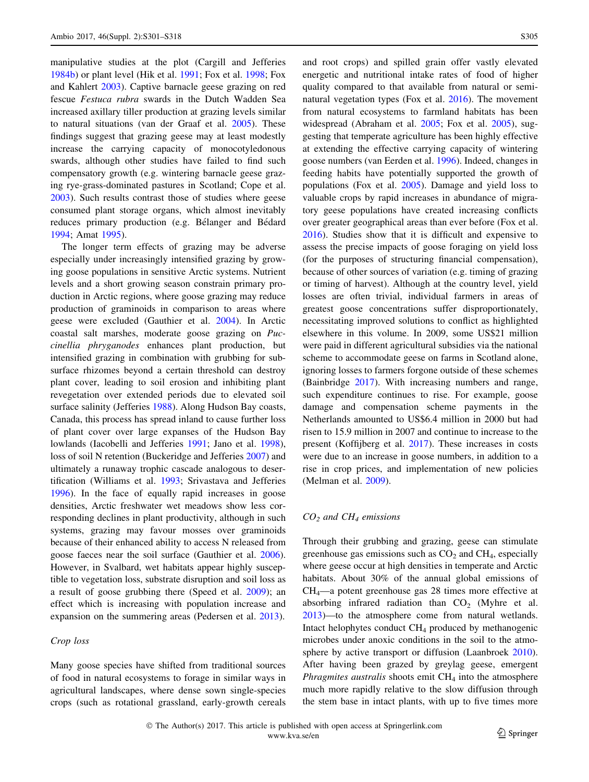manipulative studies at the plot (Cargill and Jefferies [1984b\)](#page-12-0) or plant level (Hik et al. [1991;](#page-13-0) Fox et al. [1998](#page-13-0); Fox and Kahlert [2003](#page-13-0)). Captive barnacle geese grazing on red fescue Festuca rubra swards in the Dutch Wadden Sea increased axillary tiller production at grazing levels similar to natural situations (van der Graaf et al. [2005](#page-16-0)). These findings suggest that grazing geese may at least modestly increase the carrying capacity of monocotyledonous swards, although other studies have failed to find such compensatory growth (e.g. wintering barnacle geese grazing rye-grass-dominated pastures in Scotland; Cope et al. [2003\)](#page-12-0). Such results contrast those of studies where geese consumed plant storage organs, which almost inevitably reduces primary production (e.g. Bélanger and Bédard [1994;](#page-12-0) Amat [1995\)](#page-11-0).

The longer term effects of grazing may be adverse especially under increasingly intensified grazing by growing goose populations in sensitive Arctic systems. Nutrient levels and a short growing season constrain primary production in Arctic regions, where goose grazing may reduce production of graminoids in comparison to areas where geese were excluded (Gauthier et al. [2004\)](#page-13-0). In Arctic coastal salt marshes, moderate goose grazing on Puccinellia phryganodes enhances plant production, but intensified grazing in combination with grubbing for subsurface rhizomes beyond a certain threshold can destroy plant cover, leading to soil erosion and inhibiting plant revegetation over extended periods due to elevated soil surface salinity (Jefferies [1988](#page-14-0)). Along Hudson Bay coasts, Canada, this process has spread inland to cause further loss of plant cover over large expanses of the Hudson Bay lowlands (Iacobelli and Jefferies [1991;](#page-14-0) Jano et al. [1998](#page-14-0)), loss of soil N retention (Buckeridge and Jefferies [2007\)](#page-12-0) and ultimately a runaway trophic cascade analogous to desertification (Williams et al. [1993](#page-17-0); Srivastava and Jefferies [1996\)](#page-16-0). In the face of equally rapid increases in goose densities, Arctic freshwater wet meadows show less corresponding declines in plant productivity, although in such systems, grazing may favour mosses over graminoids because of their enhanced ability to access N released from goose faeces near the soil surface (Gauthier et al. [2006](#page-13-0)). However, in Svalbard, wet habitats appear highly susceptible to vegetation loss, substrate disruption and soil loss as a result of goose grubbing there (Speed et al. [2009](#page-16-0)); an effect which is increasing with population increase and expansion on the summering areas (Pedersen et al. [2013](#page-15-0)).

# Crop loss

Many goose species have shifted from traditional sources of food in natural ecosystems to forage in similar ways in agricultural landscapes, where dense sown single-species crops (such as rotational grassland, early-growth cereals

and root crops) and spilled grain offer vastly elevated energetic and nutritional intake rates of food of higher quality compared to that available from natural or seminatural vegetation types (Fox et al. [2016\)](#page-13-0). The movement from natural ecosystems to farmland habitats has been widespread (Abraham et al. [2005;](#page-11-0) Fox et al. [2005](#page-13-0)), suggesting that temperate agriculture has been highly effective at extending the effective carrying capacity of wintering goose numbers (van Eerden et al. [1996](#page-16-0)). Indeed, changes in feeding habits have potentially supported the growth of populations (Fox et al. [2005\)](#page-13-0). Damage and yield loss to valuable crops by rapid increases in abundance of migratory geese populations have created increasing conflicts over greater geographical areas than ever before (Fox et al. [2016](#page-13-0)). Studies show that it is difficult and expensive to assess the precise impacts of goose foraging on yield loss (for the purposes of structuring financial compensation), because of other sources of variation (e.g. timing of grazing or timing of harvest). Although at the country level, yield losses are often trivial, individual farmers in areas of greatest goose concentrations suffer disproportionately, necessitating improved solutions to conflict as highlighted elsewhere in this volume. In 2009, some US\$21 million were paid in different agricultural subsidies via the national scheme to accommodate geese on farms in Scotland alone, ignoring losses to farmers forgone outside of these schemes (Bainbridge [2017\)](#page-11-0). With increasing numbers and range, such expenditure continues to rise. For example, goose damage and compensation scheme payments in the Netherlands amounted to US\$6.4 million in 2000 but had risen to 15.9 million in 2007 and continue to increase to the present (Koffijberg et al. [2017\)](#page-14-0). These increases in costs were due to an increase in goose numbers, in addition to a rise in crop prices, and implementation of new policies (Melman et al. [2009\)](#page-15-0).

#### $CO<sub>2</sub>$  and  $CH<sub>4</sub>$  emissions

Through their grubbing and grazing, geese can stimulate greenhouse gas emissions such as  $CO<sub>2</sub>$  and  $CH<sub>4</sub>$ , especially where geese occur at high densities in temperate and Arctic habitats. About 30% of the annual global emissions of CH4—a potent greenhouse gas 28 times more effective at absorbing infrared radiation than  $CO<sub>2</sub>$  (Myhre et al. [2013](#page-15-0))—to the atmosphere come from natural wetlands. Intact helophytes conduct  $CH<sub>4</sub>$  produced by methanogenic microbes under anoxic conditions in the soil to the atmo-sphere by active transport or diffusion (Laanbroek [2010](#page-14-0)). After having been grazed by greylag geese, emergent *Phragmites australis* shoots emit  $CH<sub>4</sub>$  into the atmosphere much more rapidly relative to the slow diffusion through the stem base in intact plants, with up to five times more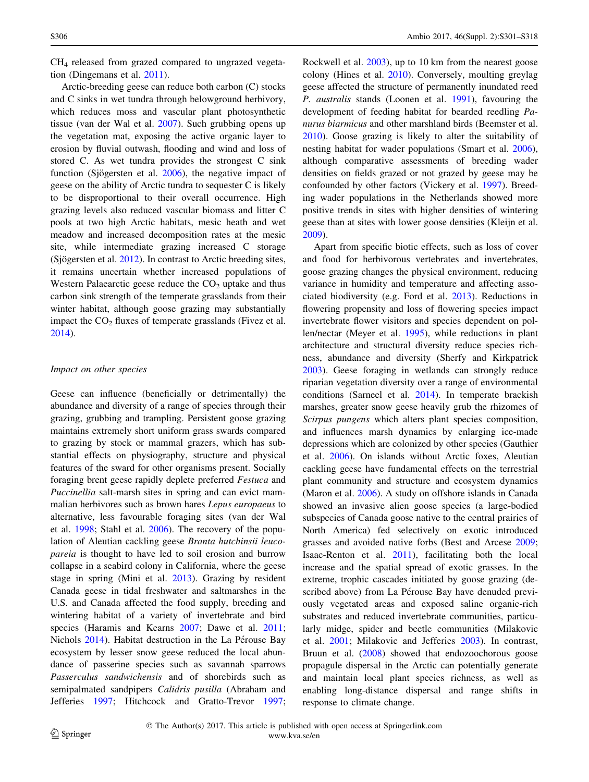CH4 released from grazed compared to ungrazed vegetation (Dingemans et al. [2011\)](#page-12-0).

Arctic-breeding geese can reduce both carbon (C) stocks and C sinks in wet tundra through belowground herbivory, which reduces moss and vascular plant photosynthetic tissue (van der Wal et al. [2007\)](#page-16-0). Such grubbing opens up the vegetation mat, exposing the active organic layer to erosion by fluvial outwash, flooding and wind and loss of stored C. As wet tundra provides the strongest C sink function (Sjögersten et al.  $2006$ ), the negative impact of geese on the ability of Arctic tundra to sequester C is likely to be disproportional to their overall occurrence. High grazing levels also reduced vascular biomass and litter C pools at two high Arctic habitats, mesic heath and wet meadow and increased decomposition rates at the mesic site, while intermediate grazing increased C storage (Sjögersten et al.  $2012$ ). In contrast to Arctic breeding sites, it remains uncertain whether increased populations of Western Palaearctic geese reduce the  $CO<sub>2</sub>$  uptake and thus carbon sink strength of the temperate grasslands from their winter habitat, although goose grazing may substantially impact the  $CO<sub>2</sub>$  fluxes of temperate grasslands (Fivez et al. [2014\)](#page-13-0).

#### Impact on other species

Geese can influence (beneficially or detrimentally) the abundance and diversity of a range of species through their grazing, grubbing and trampling. Persistent goose grazing maintains extremely short uniform grass swards compared to grazing by stock or mammal grazers, which has substantial effects on physiography, structure and physical features of the sward for other organisms present. Socially foraging brent geese rapidly deplete preferred Festuca and Puccinellia salt-marsh sites in spring and can evict mammalian herbivores such as brown hares Lepus europaeus to alternative, less favourable foraging sites (van der Wal et al. [1998](#page-16-0); Stahl et al. [2006](#page-16-0)). The recovery of the population of Aleutian cackling geese Branta hutchinsii leucopareia is thought to have led to soil erosion and burrow collapse in a seabird colony in California, where the geese stage in spring (Mini et al. [2013](#page-15-0)). Grazing by resident Canada geese in tidal freshwater and saltmarshes in the U.S. and Canada affected the food supply, breeding and wintering habitat of a variety of invertebrate and bird species (Haramis and Kearns [2007;](#page-13-0) Dawe et al. [2011](#page-12-0); Nichols [2014\)](#page-15-0). Habitat destruction in the La Pérouse Bay ecosystem by lesser snow geese reduced the local abundance of passerine species such as savannah sparrows Passerculus sandwichensis and of shorebirds such as semipalmated sandpipers Calidris pusilla (Abraham and Jefferies [1997](#page-11-0); Hitchcock and Gratto-Trevor [1997](#page-14-0); Rockwell et al. [2003\)](#page-16-0), up to 10 km from the nearest goose colony (Hines et al. [2010](#page-13-0)). Conversely, moulting greylag geese affected the structure of permanently inundated reed P. australis stands (Loonen et al. [1991\)](#page-14-0), favouring the development of feeding habitat for bearded reedling Panurus biarmicus and other marshland birds (Beemster et al. [2010](#page-11-0)). Goose grazing is likely to alter the suitability of nesting habitat for wader populations (Smart et al. [2006](#page-16-0)), although comparative assessments of breeding wader densities on fields grazed or not grazed by geese may be confounded by other factors (Vickery et al. [1997\)](#page-17-0). Breeding wader populations in the Netherlands showed more positive trends in sites with higher densities of wintering geese than at sites with lower goose densities (Kleijn et al. [2009](#page-14-0)).

Apart from specific biotic effects, such as loss of cover and food for herbivorous vertebrates and invertebrates, goose grazing changes the physical environment, reducing variance in humidity and temperature and affecting associated biodiversity (e.g. Ford et al. [2013](#page-13-0)). Reductions in flowering propensity and loss of flowering species impact invertebrate flower visitors and species dependent on pollen/nectar (Meyer et al. [1995](#page-15-0)), while reductions in plant architecture and structural diversity reduce species richness, abundance and diversity (Sherfy and Kirkpatrick [2003](#page-16-0)). Geese foraging in wetlands can strongly reduce riparian vegetation diversity over a range of environmental conditions (Sarneel et al. [2014](#page-16-0)). In temperate brackish marshes, greater snow geese heavily grub the rhizomes of Scirpus pungens which alters plant species composition, and influences marsh dynamics by enlarging ice-made depressions which are colonized by other species (Gauthier et al. [2006](#page-13-0)). On islands without Arctic foxes, Aleutian cackling geese have fundamental effects on the terrestrial plant community and structure and ecosystem dynamics (Maron et al. [2006](#page-15-0)). A study on offshore islands in Canada showed an invasive alien goose species (a large-bodied subspecies of Canada goose native to the central prairies of North America) fed selectively on exotic introduced grasses and avoided native forbs (Best and Arcese [2009](#page-12-0); Isaac-Renton et al. [2011](#page-14-0)), facilitating both the local increase and the spatial spread of exotic grasses. In the extreme, trophic cascades initiated by goose grazing (described above) from La Pérouse Bay have denuded previously vegetated areas and exposed saline organic-rich substrates and reduced invertebrate communities, particularly midge, spider and beetle communities (Milakovic et al. [2001](#page-15-0); Milakovic and Jefferies [2003\)](#page-15-0). In contrast, Bruun et al. ([2008](#page-12-0)) showed that endozoochorous goose propagule dispersal in the Arctic can potentially generate and maintain local plant species richness, as well as enabling long-distance dispersal and range shifts in response to climate change.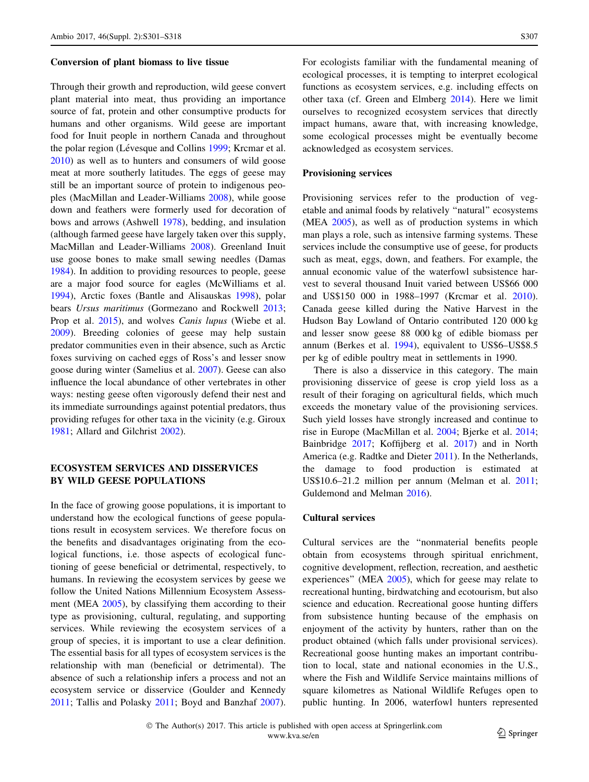#### Conversion of plant biomass to live tissue

Through their growth and reproduction, wild geese convert plant material into meat, thus providing an importance source of fat, protein and other consumptive products for humans and other organisms. Wild geese are important food for Inuit people in northern Canada and throughout the polar region (Lévesque and Collins [1999;](#page-14-0) Krcmar et al. [2010\)](#page-14-0) as well as to hunters and consumers of wild goose meat at more southerly latitudes. The eggs of geese may still be an important source of protein to indigenous peoples (MacMillan and Leader-Williams [2008\)](#page-14-0), while goose down and feathers were formerly used for decoration of bows and arrows (Ashwell [1978](#page-11-0)), bedding, and insulation (although farmed geese have largely taken over this supply, MacMillan and Leader-Williams [2008\)](#page-14-0). Greenland Inuit use goose bones to make small sewing needles (Damas [1984\)](#page-12-0). In addition to providing resources to people, geese are a major food source for eagles (McWilliams et al. [1994\)](#page-15-0), Arctic foxes (Bantle and Alisauskas [1998](#page-11-0)), polar bears Ursus maritimus (Gormezano and Rockwell [2013](#page-13-0); Prop et al. [2015\)](#page-15-0), and wolves *Canis lupus* (Wiebe et al. [2009\)](#page-17-0). Breeding colonies of geese may help sustain predator communities even in their absence, such as Arctic foxes surviving on cached eggs of Ross's and lesser snow goose during winter (Samelius et al. [2007](#page-16-0)). Geese can also influence the local abundance of other vertebrates in other ways: nesting geese often vigorously defend their nest and its immediate surroundings against potential predators, thus providing refuges for other taxa in the vicinity (e.g. Giroux [1981;](#page-13-0) Allard and Gilchrist [2002](#page-11-0)).

# ECOSYSTEM SERVICES AND DISSERVICES BY WILD GEESE POPULATIONS

In the face of growing goose populations, it is important to understand how the ecological functions of geese populations result in ecosystem services. We therefore focus on the benefits and disadvantages originating from the ecological functions, i.e. those aspects of ecological functioning of geese beneficial or detrimental, respectively, to humans. In reviewing the ecosystem services by geese we follow the United Nations Millennium Ecosystem Assess-ment (MEA [2005](#page-15-0)), by classifying them according to their type as provisioning, cultural, regulating, and supporting services. While reviewing the ecosystem services of a group of species, it is important to use a clear definition. The essential basis for all types of ecosystem services is the relationship with man (beneficial or detrimental). The absence of such a relationship infers a process and not an ecosystem service or disservice (Goulder and Kennedy [2011;](#page-13-0) Tallis and Polasky [2011;](#page-16-0) Boyd and Banzhaf [2007](#page-12-0)). For ecologists familiar with the fundamental meaning of ecological processes, it is tempting to interpret ecological functions as ecosystem services, e.g. including effects on other taxa (cf. Green and Elmberg [2014\)](#page-13-0). Here we limit ourselves to recognized ecosystem services that directly impact humans, aware that, with increasing knowledge, some ecological processes might be eventually become acknowledged as ecosystem services.

#### Provisioning services

Provisioning services refer to the production of vegetable and animal foods by relatively ''natural'' ecosystems (MEA [2005\)](#page-15-0), as well as of production systems in which man plays a role, such as intensive farming systems. These services include the consumptive use of geese, for products such as meat, eggs, down, and feathers. For example, the annual economic value of the waterfowl subsistence harvest to several thousand Inuit varied between US\$66 000 and US\$150 000 in 1988–1997 (Krcmar et al. [2010](#page-14-0)). Canada geese killed during the Native Harvest in the Hudson Bay Lowland of Ontario contributed 120 000 kg and lesser snow geese 88 000 kg of edible biomass per annum (Berkes et al. [1994](#page-12-0)), equivalent to US\$6–US\$8.5 per kg of edible poultry meat in settlements in 1990.

There is also a disservice in this category. The main provisioning disservice of geese is crop yield loss as a result of their foraging on agricultural fields, which much exceeds the monetary value of the provisioning services. Such yield losses have strongly increased and continue to rise in Europe (MacMillan et al. [2004;](#page-14-0) Bjerke et al. [2014](#page-12-0); Bainbridge [2017](#page-11-0); Koffijberg et al. [2017](#page-14-0)) and in North America (e.g. Radtke and Dieter [2011](#page-15-0)). In the Netherlands, the damage to food production is estimated at US\$10.6–21.2 million per annum (Melman et al. [2011](#page-15-0); Guldemond and Melman [2016](#page-13-0)).

# Cultural services

Cultural services are the ''nonmaterial benefits people obtain from ecosystems through spiritual enrichment, cognitive development, reflection, recreation, and aesthetic experiences'' (MEA [2005](#page-15-0)), which for geese may relate to recreational hunting, birdwatching and ecotourism, but also science and education. Recreational goose hunting differs from subsistence hunting because of the emphasis on enjoyment of the activity by hunters, rather than on the product obtained (which falls under provisional services). Recreational goose hunting makes an important contribution to local, state and national economies in the U.S., where the Fish and Wildlife Service maintains millions of square kilometres as National Wildlife Refuges open to public hunting. In 2006, waterfowl hunters represented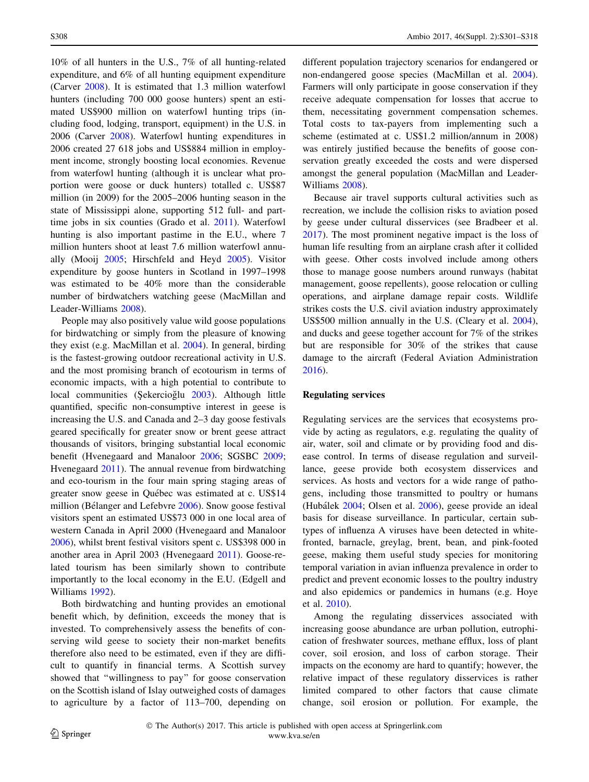10% of all hunters in the U.S., 7% of all hunting-related expenditure, and 6% of all hunting equipment expenditure (Carver [2008\)](#page-12-0). It is estimated that 1.3 million waterfowl hunters (including 700 000 goose hunters) spent an estimated US\$900 million on waterfowl hunting trips (including food, lodging, transport, equipment) in the U.S. in 2006 (Carver [2008](#page-12-0)). Waterfowl hunting expenditures in 2006 created 27 618 jobs and US\$884 million in employment income, strongly boosting local economies. Revenue from waterfowl hunting (although it is unclear what proportion were goose or duck hunters) totalled c. US\$87 million (in 2009) for the 2005–2006 hunting season in the state of Mississippi alone, supporting 512 full- and parttime jobs in six counties (Grado et al. [2011](#page-13-0)). Waterfowl hunting is also important pastime in the E.U., where 7 million hunters shoot at least 7.6 million waterfowl annually (Mooij [2005](#page-15-0); Hirschfeld and Heyd [2005\)](#page-14-0). Visitor expenditure by goose hunters in Scotland in 1997–1998 was estimated to be 40% more than the considerable number of birdwatchers watching geese (MacMillan and Leader-Williams [2008](#page-14-0)).

People may also positively value wild goose populations for birdwatching or simply from the pleasure of knowing they exist (e.g. MacMillan et al. [2004\)](#page-14-0). In general, birding is the fastest-growing outdoor recreational activity in U.S. and the most promising branch of ecotourism in terms of economic impacts, with a high potential to contribute to local communities (Sekercioğlu [2003\)](#page-16-0). Although little quantified, specific non-consumptive interest in geese is increasing the U.S. and Canada and 2–3 day goose festivals geared specifically for greater snow or brent geese attract thousands of visitors, bringing substantial local economic benefit (Hvenegaard and Manaloor [2006](#page-14-0); SGSBC [2009](#page-16-0); Hvenegaard [2011](#page-14-0)). The annual revenue from birdwatching and eco-tourism in the four main spring staging areas of greater snow geese in Québec was estimated at c. US\$14 million (Bélanger and Lefebvre [2006](#page-12-0)). Snow goose festival visitors spent an estimated US\$73 000 in one local area of western Canada in April 2000 (Hvenegaard and Manaloor [2006\)](#page-14-0), whilst brent festival visitors spent c. US\$398 000 in another area in April 2003 (Hvenegaard [2011\)](#page-14-0). Goose-related tourism has been similarly shown to contribute importantly to the local economy in the E.U. (Edgell and Williams [1992](#page-12-0)).

Both birdwatching and hunting provides an emotional benefit which, by definition, exceeds the money that is invested. To comprehensively assess the benefits of conserving wild geese to society their non-market benefits therefore also need to be estimated, even if they are difficult to quantify in financial terms. A Scottish survey showed that ''willingness to pay'' for goose conservation on the Scottish island of Islay outweighed costs of damages to agriculture by a factor of 113–700, depending on different population trajectory scenarios for endangered or non-endangered goose species (MacMillan et al. [2004](#page-14-0)). Farmers will only participate in goose conservation if they receive adequate compensation for losses that accrue to them, necessitating government compensation schemes. Total costs to tax-payers from implementing such a scheme (estimated at c. US\$1.2 million/annum in 2008) was entirely justified because the benefits of goose conservation greatly exceeded the costs and were dispersed amongst the general population (MacMillan and Leader-Williams [2008](#page-14-0)).

Because air travel supports cultural activities such as recreation, we include the collision risks to aviation posed by geese under cultural disservices (see Bradbeer et al. [2017](#page-12-0)). The most prominent negative impact is the loss of human life resulting from an airplane crash after it collided with geese. Other costs involved include among others those to manage goose numbers around runways (habitat management, goose repellents), goose relocation or culling operations, and airplane damage repair costs. Wildlife strikes costs the U.S. civil aviation industry approximately US\$500 million annually in the U.S. (Cleary et al. [2004](#page-12-0)), and ducks and geese together account for 7% of the strikes but are responsible for 30% of the strikes that cause damage to the aircraft (Federal Aviation Administration [2016](#page-13-0)).

### Regulating services

Regulating services are the services that ecosystems provide by acting as regulators, e.g. regulating the quality of air, water, soil and climate or by providing food and disease control. In terms of disease regulation and surveillance, geese provide both ecosystem disservices and services. As hosts and vectors for a wide range of pathogens, including those transmitted to poultry or humans (Hubálek [2004;](#page-14-0) Olsen et al. [2006](#page-15-0)), geese provide an ideal basis for disease surveillance. In particular, certain subtypes of influenza A viruses have been detected in whitefronted, barnacle, greylag, brent, bean, and pink-footed geese, making them useful study species for monitoring temporal variation in avian influenza prevalence in order to predict and prevent economic losses to the poultry industry and also epidemics or pandemics in humans (e.g. Hoye et al. [2010\)](#page-14-0).

Among the regulating disservices associated with increasing goose abundance are urban pollution, eutrophication of freshwater sources, methane efflux, loss of plant cover, soil erosion, and loss of carbon storage. Their impacts on the economy are hard to quantify; however, the relative impact of these regulatory disservices is rather limited compared to other factors that cause climate change, soil erosion or pollution. For example, the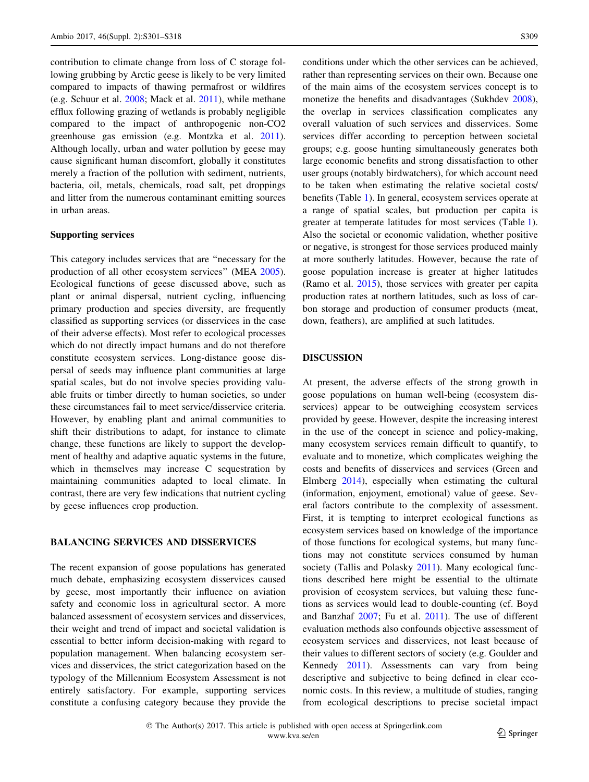contribution to climate change from loss of C storage following grubbing by Arctic geese is likely to be very limited compared to impacts of thawing permafrost or wildfires (e.g. Schuur et al. [2008](#page-16-0); Mack et al. [2011\)](#page-14-0), while methane efflux following grazing of wetlands is probably negligible compared to the impact of anthropogenic non-CO2 greenhouse gas emission (e.g. Montzka et al. [2011](#page-15-0)). Although locally, urban and water pollution by geese may cause significant human discomfort, globally it constitutes merely a fraction of the pollution with sediment, nutrients, bacteria, oil, metals, chemicals, road salt, pet droppings and litter from the numerous contaminant emitting sources in urban areas.

# Supporting services

This category includes services that are ''necessary for the production of all other ecosystem services'' (MEA [2005](#page-15-0)). Ecological functions of geese discussed above, such as plant or animal dispersal, nutrient cycling, influencing primary production and species diversity, are frequently classified as supporting services (or disservices in the case of their adverse effects). Most refer to ecological processes which do not directly impact humans and do not therefore constitute ecosystem services. Long-distance goose dispersal of seeds may influence plant communities at large spatial scales, but do not involve species providing valuable fruits or timber directly to human societies, so under these circumstances fail to meet service/disservice criteria. However, by enabling plant and animal communities to shift their distributions to adapt, for instance to climate change, these functions are likely to support the development of healthy and adaptive aquatic systems in the future, which in themselves may increase C sequestration by maintaining communities adapted to local climate. In contrast, there are very few indications that nutrient cycling by geese influences crop production.

### BALANCING SERVICES AND DISSERVICES

The recent expansion of goose populations has generated much debate, emphasizing ecosystem disservices caused by geese, most importantly their influence on aviation safety and economic loss in agricultural sector. A more balanced assessment of ecosystem services and disservices, their weight and trend of impact and societal validation is essential to better inform decision-making with regard to population management. When balancing ecosystem services and disservices, the strict categorization based on the typology of the Millennium Ecosystem Assessment is not entirely satisfactory. For example, supporting services constitute a confusing category because they provide the conditions under which the other services can be achieved, rather than representing services on their own. Because one of the main aims of the ecosystem services concept is to monetize the benefits and disadvantages (Sukhdev [2008](#page-16-0)), the overlap in services classification complicates any overall valuation of such services and disservices. Some services differ according to perception between societal groups; e.g. goose hunting simultaneously generates both large economic benefits and strong dissatisfaction to other user groups (notably birdwatchers), for which account need to be taken when estimating the relative societal costs/ benefits (Table [1](#page-9-0)). In general, ecosystem services operate at a range of spatial scales, but production per capita is greater at temperate latitudes for most services (Table [1](#page-9-0)). Also the societal or economic validation, whether positive or negative, is strongest for those services produced mainly at more southerly latitudes. However, because the rate of goose population increase is greater at higher latitudes (Ramo et al. [2015](#page-15-0)), those services with greater per capita production rates at northern latitudes, such as loss of carbon storage and production of consumer products (meat, down, feathers), are amplified at such latitudes.

# DISCUSSION

At present, the adverse effects of the strong growth in goose populations on human well-being (ecosystem disservices) appear to be outweighing ecosystem services provided by geese. However, despite the increasing interest in the use of the concept in science and policy-making, many ecosystem services remain difficult to quantify, to evaluate and to monetize, which complicates weighing the costs and benefits of disservices and services (Green and Elmberg [2014\)](#page-13-0), especially when estimating the cultural (information, enjoyment, emotional) value of geese. Several factors contribute to the complexity of assessment. First, it is tempting to interpret ecological functions as ecosystem services based on knowledge of the importance of those functions for ecological systems, but many functions may not constitute services consumed by human society (Tallis and Polasky [2011\)](#page-16-0). Many ecological functions described here might be essential to the ultimate provision of ecosystem services, but valuing these functions as services would lead to double-counting (cf. Boyd and Banzhaf [2007](#page-12-0); Fu et al. [2011\)](#page-13-0). The use of different evaluation methods also confounds objective assessment of ecosystem services and disservices, not least because of their values to different sectors of society (e.g. Goulder and Kennedy [2011\)](#page-13-0). Assessments can vary from being descriptive and subjective to being defined in clear economic costs. In this review, a multitude of studies, ranging from ecological descriptions to precise societal impact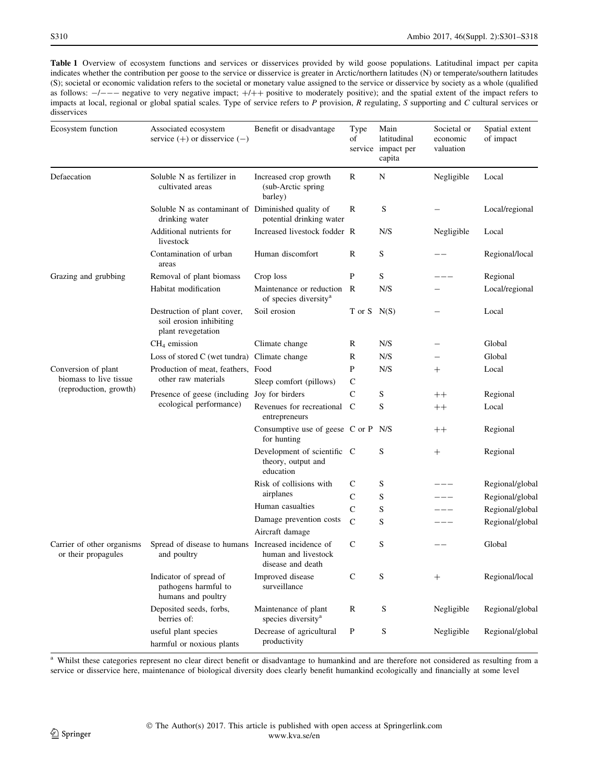<span id="page-9-0"></span>Table 1 Overview of ecosystem functions and services or disservices provided by wild goose populations. Latitudinal impact per capita indicates whether the contribution per goose to the service or disservice is greater in Arctic/northern latitudes (N) or temperate/southern latitudes (S); societal or economic validation refers to the societal or monetary value assigned to the service or disservice by society as a whole (qualified as follows:  $-/--$  negative to very negative impact;  $+/++$  positive to moderately positive); and the spatial extent of the impact refers to impacts at local, regional or global spatial scales. Type of service refers to P provision, R regulating, S supporting and C cultural services or disservices

| Ecosystem function                                                      | Associated ecosystem<br>service $(+)$ or disservice $(-)$                    | Benefit or disadvantage                                         | Type<br>of    | Main<br>latitudinal<br>service impact per<br>capita | Societal or<br>economic<br>valuation | Spatial extent<br>of impact |
|-------------------------------------------------------------------------|------------------------------------------------------------------------------|-----------------------------------------------------------------|---------------|-----------------------------------------------------|--------------------------------------|-----------------------------|
| Defaecation                                                             | Soluble N as fertilizer in<br>cultivated areas                               | Increased crop growth<br>(sub-Arctic spring<br>barley)          | R             | N                                                   | Negligible                           | Local                       |
|                                                                         | Soluble N as contaminant of Diminished quality of<br>drinking water          | potential drinking water                                        | R             | S                                                   |                                      | Local/regional              |
|                                                                         | Additional nutrients for<br>livestock                                        | Increased livestock fodder R                                    |               | N/S                                                 | Negligible                           | Local                       |
|                                                                         | Contamination of urban<br>areas                                              | Human discomfort                                                | R             | S                                                   |                                      | Regional/local              |
| Grazing and grubbing                                                    | Removal of plant biomass                                                     | Crop loss                                                       | P             | S                                                   |                                      | Regional                    |
|                                                                         | Habitat modification                                                         | Maintenance or reduction R<br>of species diversity <sup>a</sup> |               | N/S                                                 |                                      | Local/regional              |
|                                                                         | Destruction of plant cover,<br>soil erosion inhibiting<br>plant revegetation | Soil erosion                                                    | T or $S$ N(S) |                                                     |                                      | Local                       |
|                                                                         | $CH4$ emission                                                               | Climate change                                                  | R             | N/S                                                 |                                      | Global                      |
|                                                                         | Loss of stored C (wet tundra) Climate change                                 |                                                                 | $\mathbb R$   | N/S                                                 |                                      | Global                      |
| Conversion of plant<br>biomass to live tissue<br>(reproduction, growth) | Production of meat, feathers, Food<br>other raw materials                    |                                                                 | P             | N/S                                                 | $^{+}$                               | Local                       |
|                                                                         |                                                                              | Sleep comfort (pillows)                                         | $\mathbf C$   |                                                     |                                      |                             |
|                                                                         | Presence of geese (including<br>ecological performance)                      | Joy for birders                                                 | $\mathsf{C}$  | S                                                   | $^+$                                 | Regional                    |
|                                                                         |                                                                              | Revenues for recreational<br>entrepreneurs                      | $\mathcal{C}$ | S                                                   | $++$                                 | Local                       |
|                                                                         |                                                                              | Consumptive use of geese C or P<br>for hunting                  |               | N/S                                                 | $^{\mathrm{++}}$                     | Regional                    |
|                                                                         |                                                                              | Development of scientific C<br>theory, output and<br>education  |               | S                                                   | $^{+}$                               | Regional                    |
|                                                                         |                                                                              | Risk of collisions with                                         | C             | S                                                   |                                      | Regional/global             |
|                                                                         |                                                                              | airplanes                                                       | C             | S                                                   |                                      | Regional/global             |
|                                                                         |                                                                              | Human casualties                                                | $\mathsf{C}$  | S                                                   | $  -$                                | Regional/global             |
|                                                                         |                                                                              | Damage prevention costs<br>Aircraft damage                      | $\mathbf C$   | S                                                   |                                      | Regional/global             |
| Carrier of other organisms<br>or their propagules                       | Spread of disease to humans Increased incidence of<br>and poultry            | human and livestock<br>disease and death                        | C             | S                                                   |                                      | Global                      |
|                                                                         | Indicator of spread of<br>pathogens harmful to<br>humans and poultry         | Improved disease<br>surveillance                                | $\mathsf{C}$  | S                                                   | $^+$                                 | Regional/local              |
|                                                                         | Deposited seeds, forbs,<br>berries of:                                       | Maintenance of plant<br>species diversity <sup>a</sup>          | $\mathbb R$   | S                                                   | Negligible                           | Regional/global             |
|                                                                         | useful plant species<br>harmful or noxious plants                            | Decrease of agricultural<br>productivity                        | $\mathbf P$   | S                                                   | Negligible                           | Regional/global             |

<sup>a</sup> Whilst these categories represent no clear direct benefit or disadvantage to humankind and are therefore not considered as resulting from a service or disservice here, maintenance of biological diversity does clearly benefit humankind ecologically and financially at some level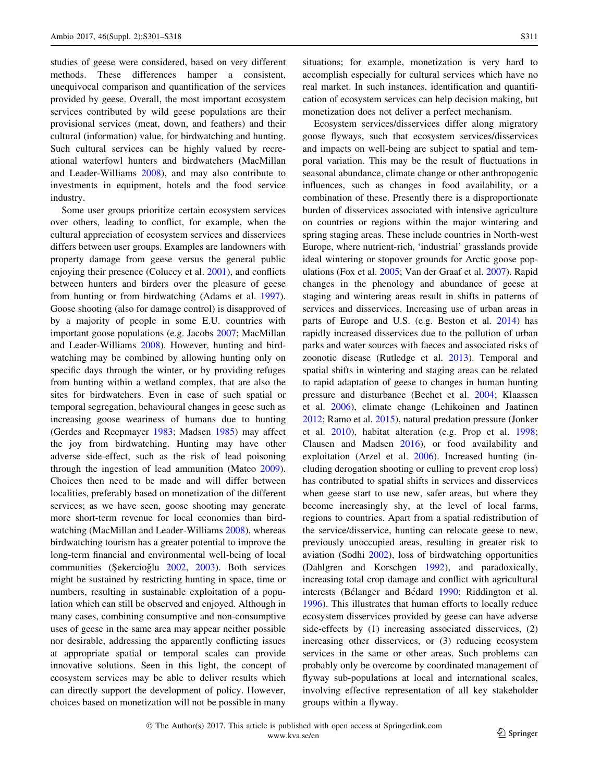studies of geese were considered, based on very different methods. These differences hamper a consistent, unequivocal comparison and quantification of the services provided by geese. Overall, the most important ecosystem services contributed by wild geese populations are their provisional services (meat, down, and feathers) and their cultural (information) value, for birdwatching and hunting. Such cultural services can be highly valued by recreational waterfowl hunters and birdwatchers (MacMillan and Leader-Williams [2008](#page-14-0)), and may also contribute to investments in equipment, hotels and the food service industry.

Some user groups prioritize certain ecosystem services over others, leading to conflict, for example, when the cultural appreciation of ecosystem services and disservices differs between user groups. Examples are landowners with property damage from geese versus the general public enjoying their presence (Coluccy et al. [2001\)](#page-12-0), and conflicts between hunters and birders over the pleasure of geese from hunting or from birdwatching (Adams et al. [1997](#page-11-0)). Goose shooting (also for damage control) is disapproved of by a majority of people in some E.U. countries with important goose populations (e.g. Jacobs [2007;](#page-14-0) MacMillan and Leader-Williams [2008](#page-14-0)). However, hunting and birdwatching may be combined by allowing hunting only on specific days through the winter, or by providing refuges from hunting within a wetland complex, that are also the sites for birdwatchers. Even in case of such spatial or temporal segregation, behavioural changes in geese such as increasing goose weariness of humans due to hunting (Gerdes and Reepmayer [1983;](#page-13-0) Madsen [1985](#page-14-0)) may affect the joy from birdwatching. Hunting may have other adverse side-effect, such as the risk of lead poisoning through the ingestion of lead ammunition (Mateo [2009](#page-15-0)). Choices then need to be made and will differ between localities, preferably based on monetization of the different services; as we have seen, goose shooting may generate more short-term revenue for local economies than birdwatching (MacMillan and Leader-Williams [2008](#page-14-0)), whereas birdwatching tourism has a greater potential to improve the long-term financial and environmental well-being of local communities (Şekercioğlu [2002](#page-16-0), [2003\)](#page-16-0). Both services might be sustained by restricting hunting in space, time or numbers, resulting in sustainable exploitation of a population which can still be observed and enjoyed. Although in many cases, combining consumptive and non-consumptive uses of geese in the same area may appear neither possible nor desirable, addressing the apparently conflicting issues at appropriate spatial or temporal scales can provide innovative solutions. Seen in this light, the concept of ecosystem services may be able to deliver results which can directly support the development of policy. However, choices based on monetization will not be possible in many situations; for example, monetization is very hard to accomplish especially for cultural services which have no real market. In such instances, identification and quantification of ecosystem services can help decision making, but monetization does not deliver a perfect mechanism.

Ecosystem services/disservices differ along migratory goose flyways, such that ecosystem services/disservices and impacts on well-being are subject to spatial and temporal variation. This may be the result of fluctuations in seasonal abundance, climate change or other anthropogenic influences, such as changes in food availability, or a combination of these. Presently there is a disproportionate burden of disservices associated with intensive agriculture on countries or regions within the major wintering and spring staging areas. These include countries in North-west Europe, where nutrient-rich, 'industrial' grasslands provide ideal wintering or stopover grounds for Arctic goose populations (Fox et al. [2005](#page-13-0); Van der Graaf et al. [2007\)](#page-16-0). Rapid changes in the phenology and abundance of geese at staging and wintering areas result in shifts in patterns of services and disservices. Increasing use of urban areas in parts of Europe and U.S. (e.g. Beston et al. [2014\)](#page-12-0) has rapidly increased disservices due to the pollution of urban parks and water sources with faeces and associated risks of zoonotic disease (Rutledge et al. [2013\)](#page-16-0). Temporal and spatial shifts in wintering and staging areas can be related to rapid adaptation of geese to changes in human hunting pressure and disturbance (Bechet et al. [2004](#page-11-0); Klaassen et al. [2006\)](#page-14-0), climate change (Lehikoinen and Jaatinen [2012](#page-14-0); Ramo et al. [2015\)](#page-15-0), natural predation pressure (Jonker et al. [2010](#page-14-0)), habitat alteration (e.g. Prop et al. [1998](#page-15-0); Clausen and Madsen [2016\)](#page-12-0), or food availability and exploitation (Arzel et al. [2006\)](#page-11-0). Increased hunting (including derogation shooting or culling to prevent crop loss) has contributed to spatial shifts in services and disservices when geese start to use new, safer areas, but where they become increasingly shy, at the level of local farms, regions to countries. Apart from a spatial redistribution of the service/disservice, hunting can relocate geese to new, previously unoccupied areas, resulting in greater risk to aviation (Sodhi [2002](#page-16-0)), loss of birdwatching opportunities (Dahlgren and Korschgen [1992\)](#page-12-0), and paradoxically, increasing total crop damage and conflict with agricultural interests (Bélanger and Bédard [1990;](#page-11-0) Riddington et al. [1996](#page-15-0)). This illustrates that human efforts to locally reduce ecosystem disservices provided by geese can have adverse side-effects by (1) increasing associated disservices, (2) increasing other disservices, or (3) reducing ecosystem services in the same or other areas. Such problems can probably only be overcome by coordinated management of flyway sub-populations at local and international scales, involving effective representation of all key stakeholder groups within a flyway.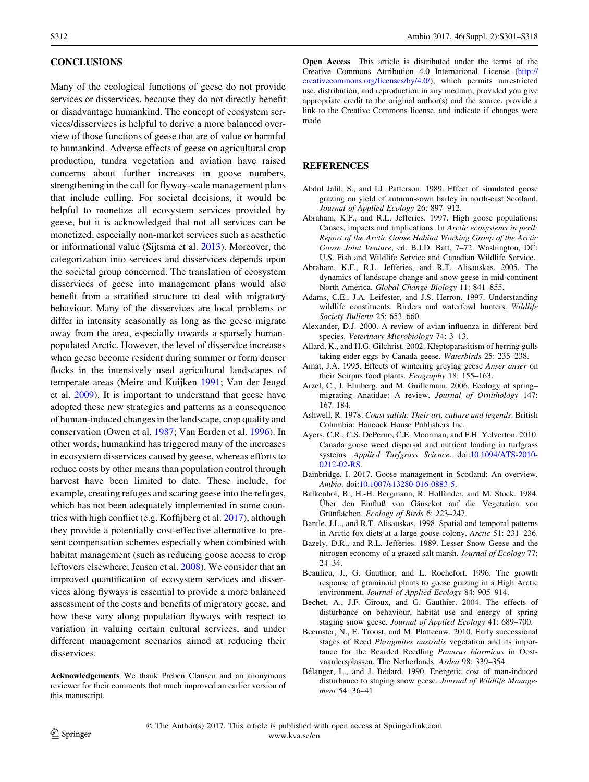### <span id="page-11-0"></span>**CONCLUSIONS**

Many of the ecological functions of geese do not provide services or disservices, because they do not directly benefit or disadvantage humankind. The concept of ecosystem services/disservices is helpful to derive a more balanced overview of those functions of geese that are of value or harmful to humankind. Adverse effects of geese on agricultural crop production, tundra vegetation and aviation have raised concerns about further increases in goose numbers, strengthening in the call for flyway-scale management plans that include culling. For societal decisions, it would be helpful to monetize all ecosystem services provided by geese, but it is acknowledged that not all services can be monetized, especially non-market services such as aesthetic or informational value (Sijtsma et al. [2013](#page-16-0)). Moreover, the categorization into services and disservices depends upon the societal group concerned. The translation of ecosystem disservices of geese into management plans would also benefit from a stratified structure to deal with migratory behaviour. Many of the disservices are local problems or differ in intensity seasonally as long as the geese migrate away from the area, especially towards a sparsely humanpopulated Arctic. However, the level of disservice increases when geese become resident during summer or form denser flocks in the intensively used agricultural landscapes of temperate areas (Meire and Kuijken [1991;](#page-15-0) Van der Jeugd et al. [2009](#page-16-0)). It is important to understand that geese have adopted these new strategies and patterns as a consequence of human-induced changes in the landscape, crop quality and conservation (Owen et al. [1987;](#page-15-0) Van Eerden et al. [1996\)](#page-16-0). In other words, humankind has triggered many of the increases in ecosystem disservices caused by geese, whereas efforts to reduce costs by other means than population control through harvest have been limited to date. These include, for example, creating refuges and scaring geese into the refuges, which has not been adequately implemented in some countries with high conflict (e.g. Koffijberg et al. [2017](#page-14-0)), although they provide a potentially cost-effective alternative to present compensation schemes especially when combined with habitat management (such as reducing goose access to crop leftovers elsewhere; Jensen et al. [2008\)](#page-14-0). We consider that an improved quantification of ecosystem services and disservices along flyways is essential to provide a more balanced assessment of the costs and benefits of migratory geese, and how these vary along population flyways with respect to variation in valuing certain cultural services, and under different management scenarios aimed at reducing their disservices.

Acknowledgements We thank Preben Clausen and an anonymous reviewer for their comments that much improved an earlier version of this manuscript.

Open Access This article is distributed under the terms of the Creative Commons Attribution 4.0 International License ([http://](http://creativecommons.org/licenses/by/4.0/) [creativecommons.org/licenses/by/4.0/](http://creativecommons.org/licenses/by/4.0/)), which permits unrestricted use, distribution, and reproduction in any medium, provided you give appropriate credit to the original author(s) and the source, provide a link to the Creative Commons license, and indicate if changes were made.

### **REFERENCES**

- Abdul Jalil, S., and I.J. Patterson. 1989. Effect of simulated goose grazing on yield of autumn-sown barley in north-east Scotland. Journal of Applied Ecology 26: 897–912.
- Abraham, K.F., and R.L. Jefferies. 1997. High goose populations: Causes, impacts and implications. In Arctic ecosystems in peril: Report of the Arctic Goose Habitat Working Group of the Arctic Goose Joint Venture, ed. B.J.D. Batt, 7–72. Washington, DC: U.S. Fish and Wildlife Service and Canadian Wildlife Service.
- Abraham, K.F., R.L. Jefferies, and R.T. Alisauskas. 2005. The dynamics of landscape change and snow geese in mid-continent North America. Global Change Biology 11: 841–855.
- Adams, C.E., J.A. Leifester, and J.S. Herron. 1997. Understanding wildlife constituents: Birders and waterfowl hunters. Wildlife Society Bulletin 25: 653–660.
- Alexander, D.J. 2000. A review of avian influenza in different bird species. Veterinary Microbiology 74: 3–13.
- Allard, K., and H.G. Gilchrist. 2002. Kleptoparasitism of herring gulls taking eider eggs by Canada geese. Waterbirds 25: 235–238.
- Amat, J.A. 1995. Effects of wintering greylag geese Anser anser on their Scirpus food plants. Ecography 18: 155–163.
- Arzel, C., J. Elmberg, and M. Guillemain. 2006. Ecology of spring– migrating Anatidae: A review. Journal of Ornithology 147: 167–184.
- Ashwell, R. 1978. Coast salish: Their art, culture and legends. British Columbia: Hancock House Publishers Inc.
- Ayers, C.R., C.S. DePerno, C.E. Moorman, and F.H. Yelverton. 2010. Canada goose weed dispersal and nutrient loading in turfgrass systems. Applied Turfgrass Science. doi:[10.1094/ATS-2010-](http://dx.doi.org/10.1094/ATS-2010-0212-02-RS) [0212-02-RS.](http://dx.doi.org/10.1094/ATS-2010-0212-02-RS)
- Bainbridge, I. 2017. Goose management in Scotland: An overview. Ambio. doi[:10.1007/s13280-016-0883-5](http://dx.doi.org/10.1007/s13280-016-0883-5).
- Balkenhol, B., H.-H. Bergmann, R. Holländer, and M. Stock. 1984. Uber den Einfluß von Gänsekot auf die Vegetation von Grünflächen. Ecology of Birds 6: 223-247.
- Bantle, J.L., and R.T. Alisauskas. 1998. Spatial and temporal patterns in Arctic fox diets at a large goose colony. Arctic 51: 231–236.
- Bazely, D.R., and R.L. Jefferies. 1989. Lesser Snow Geese and the nitrogen economy of a grazed salt marsh. Journal of Ecology 77: 24–34.
- Beaulieu, J., G. Gauthier, and L. Rochefort. 1996. The growth response of graminoid plants to goose grazing in a High Arctic environment. Journal of Applied Ecology 84: 905–914.
- Bechet, A., J.F. Giroux, and G. Gauthier. 2004. The effects of disturbance on behaviour, habitat use and energy of spring staging snow geese. Journal of Applied Ecology 41: 689–700.
- Beemster, N., E. Troost, and M. Platteeuw. 2010. Early successional stages of Reed Phragmites australis vegetation and its importance for the Bearded Reedling Panurus biarmicus in Oostvaardersplassen, The Netherlands. Ardea 98: 339–354.
- Bélanger, L., and J. Bédard. 1990. Energetic cost of man-induced disturbance to staging snow geese. Journal of Wildlife Management 54: 36–41.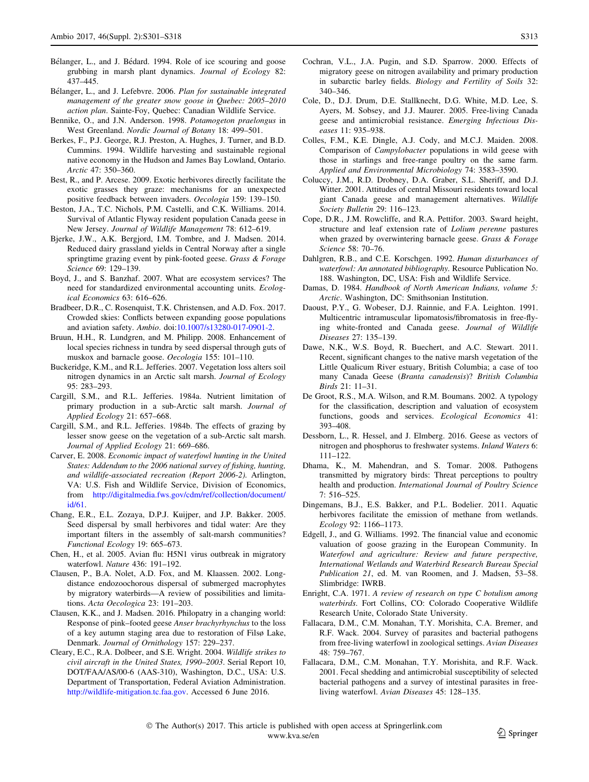- <span id="page-12-0"></span>Bélanger, L., and J. Bédard. 1994. Role of ice scouring and goose grubbing in marsh plant dynamics. Journal of Ecology 82: 437–445.
- Bélanger, L., and J. Lefebvre. 2006. Plan for sustainable integrated management of the greater snow goose in Quebec: 2005–2010 action plan. Sainte-Foy, Quebec: Canadian Wildlife Service.
- Bennike, O., and J.N. Anderson. 1998. Potamogeton praelongus in West Greenland. Nordic Journal of Botany 18: 499–501.
- Berkes, F., P.J. George, R.J. Preston, A. Hughes, J. Turner, and B.D. Cummins. 1994. Wildlife harvesting and sustainable regional native economy in the Hudson and James Bay Lowland, Ontario.  $Arctic$  47: 350–360
- Best, R., and P. Arcese. 2009. Exotic herbivores directly facilitate the exotic grasses they graze: mechanisms for an unexpected positive feedback between invaders. Oecologia 159: 139–150.
- Beston, J.A., T.C. Nichols, P.M. Castelli, and C.K. Williams. 2014. Survival of Atlantic Flyway resident population Canada geese in New Jersey. Journal of Wildlife Management 78: 612–619.
- Bjerke, J.W., A.K. Bergjord, I.M. Tombre, and J. Madsen. 2014. Reduced dairy grassland yields in Central Norway after a single springtime grazing event by pink-footed geese. Grass & Forage Science 69: 129–139.
- Boyd, J., and S. Banzhaf. 2007. What are ecosystem services? The need for standardized environmental accounting units. Ecological Economics 63: 616–626.
- Bradbeer, D.R., C. Rosenquist, T.K. Christensen, and A.D. Fox. 2017. Crowded skies: Conflicts between expanding goose populations and aviation safety. Ambio. doi:[10.1007/s13280-017-0901-2.](http://dx.doi.org/10.1007/s13280-017-0901-2)
- Bruun, H.H., R. Lundgren, and M. Philipp. 2008. Enhancement of local species richness in tundra by seed dispersal through guts of muskox and barnacle goose. Oecologia 155: 101–110.
- Buckeridge, K.M., and R.L. Jefferies. 2007. Vegetation loss alters soil nitrogen dynamics in an Arctic salt marsh. Journal of Ecology 95: 283–293.
- Cargill, S.M., and R.L. Jefferies. 1984a. Nutrient limitation of primary production in a sub-Arctic salt marsh. Journal of Applied Ecology 21: 657–668.
- Cargill, S.M., and R.L. Jefferies. 1984b. The effects of grazing by lesser snow geese on the vegetation of a sub-Arctic salt marsh. Journal of Applied Ecology 21: 669–686.
- Carver, E. 2008. Economic impact of waterfowl hunting in the United States: Addendum to the 2006 national survey of fishing, hunting, and wildlife-associated recreation (Report 2006-2). Arlington, VA: U.S. Fish and Wildlife Service, Division of Economics, from [http://digitalmedia.fws.gov/cdm/ref/collection/document/](http://digitalmedia.fws.gov/cdm/ref/collection/document/id/61) [id/61](http://digitalmedia.fws.gov/cdm/ref/collection/document/id/61).
- Chang, E.R., E.L. Zozaya, D.P.J. Kuijper, and J.P. Bakker. 2005. Seed dispersal by small herbivores and tidal water: Are they important filters in the assembly of salt-marsh communities? Functional Ecology 19: 665–673.
- Chen, H., et al. 2005. Avian flu: H5N1 virus outbreak in migratory waterfowl. Nature 436: 191–192.
- Clausen, P., B.A. Nolet, A.D. Fox, and M. Klaassen. 2002. Longdistance endozoochorous dispersal of submerged macrophytes by migratory waterbirds—A review of possibilities and limitations. Acta Oecologica 23: 191–203.
- Clausen, K.K., and J. Madsen. 2016. Philopatry in a changing world: Response of pink–footed geese Anser brachyrhynchus to the loss of a key autumn staging area due to restoration of Filsø Lake, Denmark. Journal of Ornithology 157: 229–237.
- Cleary, E.C., R.A. Dolbeer, and S.E. Wright. 2004. Wildlife strikes to civil aircraft in the United States, 1990–2003. Serial Report 10, DOT/FAA/AS/00-6 (AAS-310), Washington, D.C., USA: U.S. Department of Transportation, Federal Aviation Administration. <http://wildlife-mitigation.tc.faa.gov>. Accessed 6 June 2016.
- Cochran, V.L., J.A. Pugin, and S.D. Sparrow. 2000. Effects of migratory geese on nitrogen availability and primary production in subarctic barley fields. Biology and Fertility of Soils 32: 340–346.
- Cole, D., D.J. Drum, D.E. Stallknecht, D.G. White, M.D. Lee, S. Ayers, M. Sobsey, and J.J. Maurer. 2005. Free-living Canada geese and antimicrobial resistance. Emerging Infectious Diseases 11: 935–938.
- Colles, F.M., K.E. Dingle, A.J. Cody, and M.C.J. Maiden. 2008. Comparison of Campylobacter populations in wild geese with those in starlings and free-range poultry on the same farm. Applied and Environmental Microbiology 74: 3583–3590.
- Coluccy, J.M., R.D. Drobney, D.A. Graber, S.L. Sheriff, and D.J. Witter. 2001. Attitudes of central Missouri residents toward local giant Canada geese and management alternatives. Wildlife Society Bulletin 29: 116–123.
- Cope, D.R., J.M. Rowcliffe, and R.A. Pettifor. 2003. Sward height, structure and leaf extension rate of Lolium perenne pastures when grazed by overwintering barnacle geese. Grass & Forage Science 58: 70–76.
- Dahlgren, R.B., and C.E. Korschgen. 1992. Human disturbances of waterfowl: An annotated bibliography. Resource Publication No. 188. Washington, DC, USA: Fish and Wildlife Service.
- Damas, D. 1984. Handbook of North American Indians, volume 5: Arctic. Washington, DC: Smithsonian Institution.
- Daoust, P.Y., G. Wobeser, D.J. Rainnie, and F.A. Leighton. 1991. Multicentric intramuscular lipomatosis/fibromatosis in free-flying white-fronted and Canada geese. Journal of Wildlife Diseases 27: 135–139.
- Dawe, N.K., W.S. Boyd, R. Buechert, and A.C. Stewart. 2011. Recent, significant changes to the native marsh vegetation of the Little Qualicum River estuary, British Columbia; a case of too many Canada Geese (Branta canadensis)? British Columbia Birds 21: 11–31.
- De Groot, R.S., M.A. Wilson, and R.M. Boumans. 2002. A typology for the classification, description and valuation of ecosystem functions, goods and services. Ecological Economics 41: 393–408.
- Dessborn, L., R. Hessel, and J. Elmberg. 2016. Geese as vectors of nitrogen and phosphorus to freshwater systems. Inland Waters 6: 111–122.
- Dhama, K., M. Mahendran, and S. Tomar. 2008. Pathogens transmitted by migratory birds: Threat perceptions to poultry health and production. International Journal of Poultry Science 7: 516–525.
- Dingemans, B.J., E.S. Bakker, and P.L. Bodelier. 2011. Aquatic herbivores facilitate the emission of methane from wetlands. Ecology 92: 1166–1173.
- Edgell, J., and G. Williams. 1992. The financial value and economic valuation of goose grazing in the European Community. In Waterfowl and agriculture: Review and future perspective, International Wetlands and Waterbird Research Bureau Special Publication 21, ed. M. van Roomen, and J. Madsen, 53–58. Slimbridge: IWRB.
- Enright, C.A. 1971. A review of research on type C botulism among waterbirds. Fort Collins, CO: Colorado Cooperative Wildlife Research Unite, Colorado State University.
- Fallacara, D.M., C.M. Monahan, T.Y. Morishita, C.A. Bremer, and R.F. Wack. 2004. Survey of parasites and bacterial pathogens from free-living waterfowl in zoological settings. Avian Diseases 48: 759–767.
- Fallacara, D.M., C.M. Monahan, T.Y. Morishita, and R.F. Wack. 2001. Fecal shedding and antimicrobial susceptibility of selected bacterial pathogens and a survey of intestinal parasites in freeliving waterfowl. Avian Diseases 45: 128–135.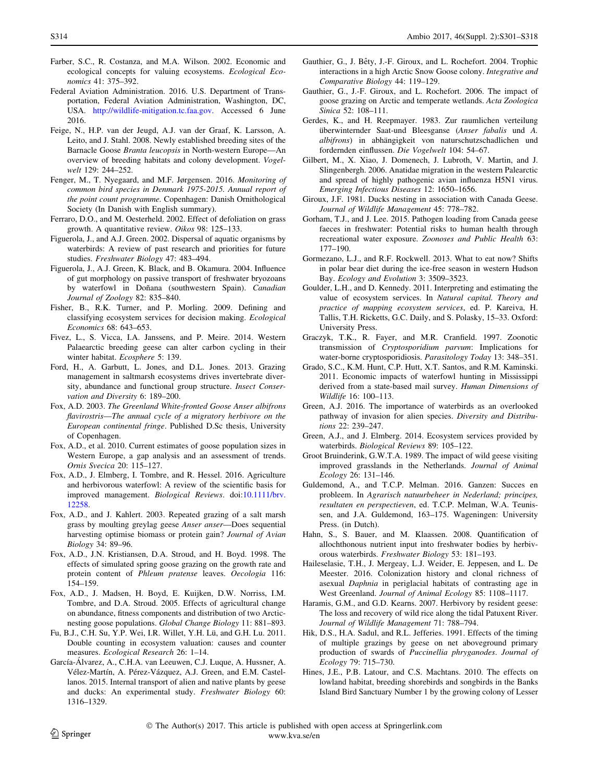- <span id="page-13-0"></span>Farber, S.C., R. Costanza, and M.A. Wilson. 2002. Economic and ecological concepts for valuing ecosystems. Ecological Economics 41: 375–392.
- Federal Aviation Administration. 2016. U.S. Department of Transportation, Federal Aviation Administration, Washington, DC, USA. <http://wildlife-mitigation.tc.faa.gov>. Accessed 6 June 2016.
- Feige, N., H.P. van der Jeugd, A.J. van der Graaf, K. Larsson, A. Leito, and J. Stahl. 2008. Newly established breeding sites of the Barnacle Goose Branta leucopsis in North-western Europe—An overview of breeding habitats and colony development. Vogelwelt 129: 244–252.
- Fenger, M., T. Nyegaard, and M.F. Jørgensen. 2016. Monitoring of common bird species in Denmark 1975-2015. Annual report of the point count programme. Copenhagen: Danish Ornithological Society (In Danish with English summary).
- Ferraro, D.O., and M. Oesterheld. 2002. Effect of defoliation on grass growth. A quantitative review. Oikos 98: 125–133.
- Figuerola, J., and A.J. Green. 2002. Dispersal of aquatic organisms by waterbirds: A review of past research and priorities for future studies. Freshwater Biology 47: 483–494.
- Figuerola, J., A.J. Green, K. Black, and B. Okamura. 2004. Influence of gut morphology on passive transport of freshwater bryozoans by waterfowl in Doñana (southwestern Spain). Canadian Journal of Zoology 82: 835–840.
- Fisher, B., R.K. Turner, and P. Morling. 2009. Defining and classifying ecosystem services for decision making. Ecological Economics 68: 643–653.
- Fivez, L., S. Vicca, I.A. Janssens, and P. Meire. 2014. Western Palaearctic breeding geese can alter carbon cycling in their winter habitat. Ecosphere 5: 139.
- Ford, H., A. Garbutt, L. Jones, and D.L. Jones. 2013. Grazing management in saltmarsh ecosystems drives invertebrate diversity, abundance and functional group structure. Insect Conservation and Diversity 6: 189–200.
- Fox, A.D. 2003. The Greenland White-fronted Goose Anser albifrons flavirostris—The annual cycle of a migratory herbivore on the European continental fringe. Published D.Sc thesis, University of Copenhagen.
- Fox, A.D., et al. 2010. Current estimates of goose population sizes in Western Europe, a gap analysis and an assessment of trends. Ornis Svecica 20: 115–127.
- Fox, A.D., J. Elmberg, I. Tombre, and R. Hessel. 2016. Agriculture and herbivorous waterfowl: A review of the scientific basis for improved management. Biological Reviews. doi:[10.1111/brv.](http://dx.doi.org/10.1111/brv.12258) [12258](http://dx.doi.org/10.1111/brv.12258).
- Fox, A.D., and J. Kahlert. 2003. Repeated grazing of a salt marsh grass by moulting greylag geese Anser anser—Does sequential harvesting optimise biomass or protein gain? Journal of Avian Biology 34: 89–96.
- Fox, A.D., J.N. Kristiansen, D.A. Stroud, and H. Boyd. 1998. The effects of simulated spring goose grazing on the growth rate and protein content of Phleum pratense leaves. Oecologia 116: 154–159.
- Fox, A.D., J. Madsen, H. Boyd, E. Kuijken, D.W. Norriss, I.M. Tombre, and D.A. Stroud. 2005. Effects of agricultural change on abundance, fitness components and distribution of two Arcticnesting goose populations. Global Change Biology 11: 881–893.
- Fu, B.J., C.H. Su, Y.P. Wei, I.R. Willet, Y.H. Lü, and G.H. Lu. 2011. Double counting in ecosystem valuation: causes and counter measures. Ecological Research 26: 1–14.
- García-Álvarez, A., C.H.A. van Leeuwen, C.J. Luque, A. Hussner, A. Vélez-Martín, A. Pérez-Vázquez, A.J. Green, and E.M. Castellanos. 2015. Internal transport of alien and native plants by geese and ducks: An experimental study. Freshwater Biology 60: 1316–1329.
- Gauthier, G., J. Bêty, J.-F. Giroux, and L. Rochefort. 2004. Trophic interactions in a high Arctic Snow Goose colony. Integrative and Comparative Biology 44: 119–129.
- Gauthier, G., J.-F. Giroux, and L. Rochefort. 2006. The impact of goose grazing on Arctic and temperate wetlands. Acta Zoologica Sinica 52: 108–111.
- Gerdes, K., and H. Reepmayer. 1983. Zur raumlichen verteilung überwinternder Saat-und Bleesganse (Anser fabalis und A. albifrons) in abhängigkeit von naturschutzschadlichen und fordernden einflussen. Die Vogelwelt 104: 54–67.
- Gilbert, M., X. Xiao, J. Domenech, J. Lubroth, V. Martin, and J. Slingenbergh. 2006. Anatidae migration in the western Palearctic and spread of highly pathogenic avian influenza H5N1 virus. Emerging Infectious Diseases 12: 1650–1656.
- Giroux, J.F. 1981. Ducks nesting in association with Canada Geese. Journal of Wildlife Management 45: 778–782.
- Gorham, T.J., and J. Lee. 2015. Pathogen loading from Canada geese faeces in freshwater: Potential risks to human health through recreational water exposure. Zoonoses and Public Health 63: 177–190.
- Gormezano, L.J., and R.F. Rockwell. 2013. What to eat now? Shifts in polar bear diet during the ice-free season in western Hudson Bay. Ecology and Evolution 3: 3509–3523.
- Goulder, L.H., and D. Kennedy. 2011. Interpreting and estimating the value of ecosystem services. In Natural capital. Theory and practice of mapping ecosystem services, ed. P. Kareiva, H. Tallis, T.H. Ricketts, G.C. Daily, and S. Polasky, 15–33. Oxford: University Press.
- Graczyk, T.K., R. Fayer, and M.R. Cranfield. 1997. Zoonotic transmission of Cryptosporidium parvum: Implications for water-borne cryptosporidiosis. Parasitology Today 13: 348–351.
- Grado, S.C., K.M. Hunt, C.P. Hutt, X.T. Santos, and R.M. Kaminski. 2011. Economic impacts of waterfowl hunting in Mississippi derived from a state-based mail survey. Human Dimensions of Wildlife 16: 100–113.
- Green, A.J. 2016. The importance of waterbirds as an overlooked pathway of invasion for alien species. Diversity and Distributions 22: 239–247.
- Green, A.J., and J. Elmberg. 2014. Ecosystem services provided by waterbirds. Biological Reviews 89: 105–122.
- Groot Bruinderink, G.W.T.A. 1989. The impact of wild geese visiting improved grasslands in the Netherlands. Journal of Animal Ecology 26: 131–146.
- Guldemond, A., and T.C.P. Melman. 2016. Ganzen: Succes en probleem. In Agrarisch natuurbeheer in Nederland; principes, resultaten en perspectieven, ed. T.C.P. Melman, W.A. Teunissen, and J.A. Guldemond, 163–175. Wageningen: University Press. (in Dutch).
- Hahn, S., S. Bauer, and M. Klaassen. 2008. Quantification of allochthonous nutrient input into freshwater bodies by herbivorous waterbirds. Freshwater Biology 53: 181–193.
- Haileselasie, T.H., J. Mergeay, L.J. Weider, E. Jeppesen, and L. De Meester. 2016. Colonization history and clonal richness of asexual Daphnia in periglacial habitats of contrasting age in West Greenland. Journal of Animal Ecology 85: 1108–1117.
- Haramis, G.M., and G.D. Kearns. 2007. Herbivory by resident geese: The loss and recovery of wild rice along the tidal Patuxent River. Journal of Wildlife Management 71: 788–794.
- Hik, D.S., H.A. Sadul, and R.L. Jefferies. 1991. Effects of the timing of multiple grazings by geese on net aboveground primary production of swards of Puccinellia phryganodes. Journal of Ecology 79: 715–730.
- Hines, J.E., P.B. Latour, and C.S. Machtans. 2010. The effects on lowland habitat, breeding shorebirds and songbirds in the Banks Island Bird Sanctuary Number 1 by the growing colony of Lesser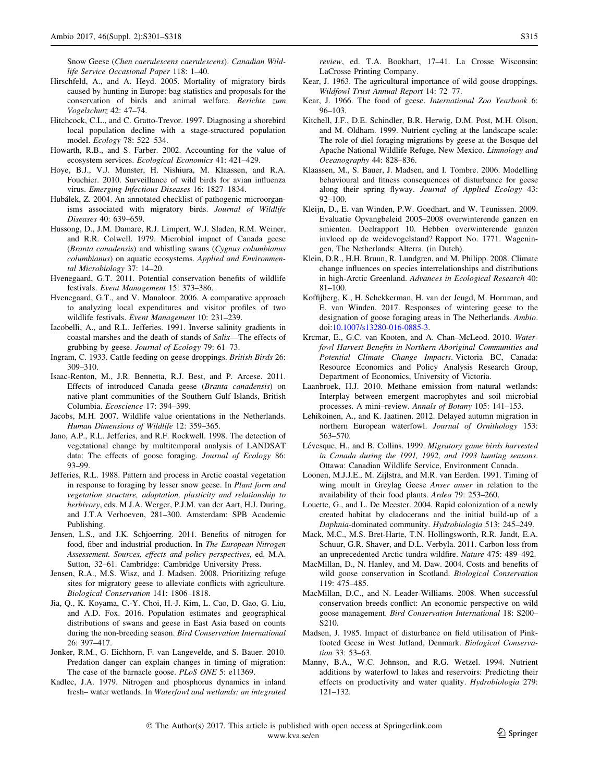<span id="page-14-0"></span>Snow Geese (Chen caerulescens caerulescens). Canadian Wildlife Service Occasional Paper 118: 1–40.

- Hirschfeld, A., and A. Heyd. 2005. Mortality of migratory birds caused by hunting in Europe: bag statistics and proposals for the conservation of birds and animal welfare. Berichte zum Vogelschutz 42: 47–74.
- Hitchcock, C.L., and C. Gratto-Trevor. 1997. Diagnosing a shorebird local population decline with a stage-structured population model. Ecology 78: 522–534.
- Howarth, R.B., and S. Farber. 2002. Accounting for the value of ecosystem services. Ecological Economics 41: 421–429.
- Hoye, B.J., V.J. Munster, H. Nishiura, M. Klaassen, and R.A. Fouchier. 2010. Surveillance of wild birds for avian influenza virus. Emerging Infectious Diseases 16: 1827–1834.
- Hubálek, Z. 2004. An annotated checklist of pathogenic microorganisms associated with migratory birds. Journal of Wildlife Diseases 40: 639–659.
- Hussong, D., J.M. Damare, R.J. Limpert, W.J. Sladen, R.M. Weiner, and R.R. Colwell. 1979. Microbial impact of Canada geese (Branta canadensis) and whistling swans (Cygnus columbianus columbianus) on aquatic ecosystems. Applied and Environmental Microbiology 37: 14–20.
- Hvenegaard, G.T. 2011. Potential conservation benefits of wildlife festivals. Event Management 15: 373–386.
- Hvenegaard, G.T., and V. Manaloor. 2006. A comparative approach to analyzing local expenditures and visitor profiles of two wildlife festivals. Event Management 10: 231–239.
- Iacobelli, A., and R.L. Jefferies. 1991. Inverse salinity gradients in coastal marshes and the death of stands of Salix—The effects of grubbing by geese. Journal of Ecology 79: 61–73.
- Ingram, C. 1933. Cattle feeding on geese droppings. British Birds 26: 309–310.
- Isaac-Renton, M., J.R. Bennetta, R.J. Best, and P. Arcese. 2011. Effects of introduced Canada geese (Branta canadensis) on native plant communities of the Southern Gulf Islands, British Columbia. Ecoscience 17: 394–399.
- Jacobs, M.H. 2007. Wildlife value orientations in the Netherlands. Human Dimensions of Wildlife 12: 359–365.
- Jano, A.P., R.L. Jefferies, and R.F. Rockwell. 1998. The detection of vegetational change by multitemporal analysis of LANDSAT data: The effects of goose foraging. Journal of Ecology 86: 93–99.
- Jefferies, R.L. 1988. Pattern and process in Arctic coastal vegetation in response to foraging by lesser snow geese. In Plant form and vegetation structure, adaptation, plasticity and relationship to herbivory, eds. M.J.A. Werger, P.J.M. van der Aart, H.J. During, and J.T.A Verhoeven, 281–300. Amsterdam: SPB Academic Publishing.
- Jensen, L.S., and J.K. Schjoerring. 2011. Benefits of nitrogen for food, fiber and industrial production. In The European Nitrogen Assessement. Sources, effects and policy perspectives, ed. M.A. Sutton, 32–61. Cambridge: Cambridge University Press.
- Jensen, R.A., M.S. Wisz, and J. Madsen. 2008. Prioritizing refuge sites for migratory geese to alleviate conflicts with agriculture. Biological Conservation 141: 1806–1818.
- Jia, Q., K. Koyama, C.-Y. Choi, H.-J. Kim, L. Cao, D. Gao, G. Liu, and A.D. Fox. 2016. Population estimates and geographical distributions of swans and geese in East Asia based on counts during the non-breeding season. Bird Conservation International 26: 397–417.
- Jonker, R.M., G. Eichhorn, F. van Langevelde, and S. Bauer. 2010. Predation danger can explain changes in timing of migration: The case of the barnacle goose. PLoS ONE 5: e11369.
- Kadlec, J.A. 1979. Nitrogen and phosphorus dynamics in inland fresh– water wetlands. In Waterfowl and wetlands: an integrated

review, ed. T.A. Bookhart, 17–41. La Crosse Wisconsin: LaCrosse Printing Company.

- Kear, J. 1963. The agricultural importance of wild goose droppings. Wildfowl Trust Annual Report 14: 72–77.
- Kear, J. 1966. The food of geese. International Zoo Yearbook 6: 96–103.
- Kitchell, J.F., D.E. Schindler, B.R. Herwig, D.M. Post, M.H. Olson, and M. Oldham. 1999. Nutrient cycling at the landscape scale: The role of diel foraging migrations by geese at the Bosque del Apache National Wildlife Refuge, New Mexico. Limnology and Oceanography 44: 828–836.
- Klaassen, M., S. Bauer, J. Madsen, and I. Tombre. 2006. Modelling behavioural and fitness consequences of disturbance for geese along their spring flyway. Journal of Applied Ecology 43: 92–100.
- Kleijn, D., E. van Winden, P.W. Goedhart, and W. Teunissen. 2009. Evaluatie Opvangbeleid 2005–2008 overwinterende ganzen en smienten. Deelrapport 10. Hebben overwinterende ganzen invloed op de weidevogelstand? Rapport No. 1771. Wageningen, The Netherlands: Alterra. (in Dutch).
- Klein, D.R., H.H. Bruun, R. Lundgren, and M. Philipp. 2008. Climate change influences on species interrelationships and distributions in high-Arctic Greenland. Advances in Ecological Research 40: 81–100.
- Koffijberg, K., H. Schekkerman, H. van der Jeugd, M. Hornman, and E. van Winden. 2017. Responses of wintering geese to the designation of goose foraging areas in The Netherlands. Ambio. doi[:10.1007/s13280-016-0885-3](http://dx.doi.org/10.1007/s13280-016-0885-3).
- Krcmar, E., G.C. van Kooten, and A. Chan–McLeod. 2010. Waterfowl Harvest Benefits in Northern Aboriginal Communities and Potential Climate Change Impacts. Victoria BC, Canada: Resource Economics and Policy Analysis Research Group, Department of Economics, University of Victoria.
- Laanbroek, H.J. 2010. Methane emission from natural wetlands: Interplay between emergent macrophytes and soil microbial processes. A mini–review. Annals of Botany 105: 141–153.
- Lehikoinen, A., and K. Jaatinen. 2012. Delayed autumn migration in northern European waterfowl. Journal of Ornithology 153: 563–570.
- Lévesque, H., and B. Collins. 1999. Migratory game birds harvested in Canada during the 1991, 1992, and 1993 hunting seasons. Ottawa: Canadian Wildlife Service, Environment Canada.
- Loonen, M.J.J.E., M. Zijlstra, and M.R. van Eerden. 1991. Timing of wing moult in Greylag Geese Anser anser in relation to the availability of their food plants. Ardea 79: 253–260.
- Louette, G., and L. De Meester. 2004. Rapid colonization of a newly created habitat by cladocerans and the initial build-up of a Daphnia-dominated community. Hydrobiologia 513: 245–249.
- Mack, M.C., M.S. Bret-Harte, T.N. Hollingsworth, R.R. Jandt, E.A. Schuur, G.R. Shaver, and D.L. Verbyla. 2011. Carbon loss from an unprecedented Arctic tundra wildfire. Nature 475: 489–492.
- MacMillan, D., N. Hanley, and M. Daw. 2004. Costs and benefits of wild goose conservation in Scotland. Biological Conservation 119: 475–485.
- MacMillan, D.C., and N. Leader-Williams. 2008. When successful conservation breeds conflict: An economic perspective on wild goose management. Bird Conservation International 18: S200– S210.
- Madsen, J. 1985. Impact of disturbance on field utilisation of Pinkfooted Geese in West Jutland, Denmark. Biological Conservation 33: 53–63.
- Manny, B.A., W.C. Johnson, and R.G. Wetzel. 1994. Nutrient additions by waterfowl to lakes and reservoirs: Predicting their effects on productivity and water quality. Hydrobiologia 279: 121–132.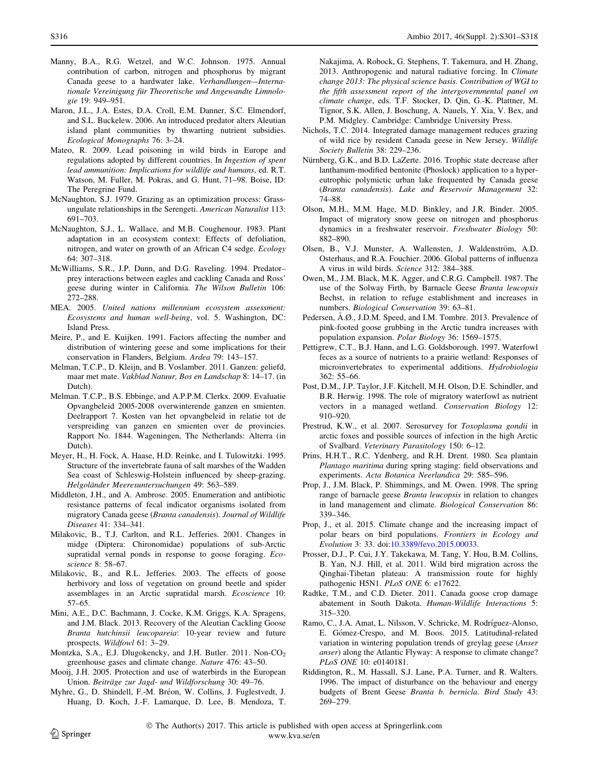- <span id="page-15-0"></span>Manny, B.A., R.G. Wetzel, and W.C. Johnson. 1975. Annual contribution of carbon, nitrogen and phosphorus by migrant Canada geese to a hardwater lake. Verhandlungen—Internationale Vereinigung für Theoretische und Angewandte Limnologie 19: 949–951.
- Maron, J.L., J.A. Estes, D.A. Croll, E.M. Danner, S.C. Elmendorf, and S.L. Buckelew. 2006. An introduced predator alters Aleutian island plant communities by thwarting nutrient subsidies. Ecological Monographs 76: 3–24.
- Mateo, R. 2009. Lead poisoning in wild birds in Europe and regulations adopted by different countries. In Ingestion of spent lead ammunition: Implications for wildlife and humans, ed. R.T. Watson, M. Fuller, M. Pokras, and G. Hunt, 71–98. Boise, ID: The Peregrine Fund.
- McNaughton, S.J. 1979. Grazing as an optimization process: Grassungulate relationships in the Serengeti. American Naturalist 113: 691–703.
- McNaughton, S.J., L. Wallace, and M.B. Coughenour. 1983. Plant adaptation in an ecosystem context: Effects of defoliation, nitrogen, and water on growth of an African C4 sedge. Ecology 64: 307–318.
- McWilliams, S.R., J.P. Dunn, and D.G. Raveling. 1994. Predator– prey interactions between eagles and cackling Canada and Ross' geese during winter in California. The Wilson Bulletin 106: 272–288.
- MEA. 2005. United nations millennium ecosystem assessment: Ecosystems and human well-being, vol. 5. Washington, DC: Island Press.
- Meire, P., and E. Kuijken. 1991. Factors affecting the number and distribution of wintering geese and some implications for their conservation in Flanders, Belgium. Ardea 79: 143–157.
- Melman, T.C.P., D. Kleijn, and B. Voslamber. 2011. Ganzen: geliefd, maar met mate. Vakblad Natuur, Bos en Landschap 8: 14–17. (in Dutch).
- Melman. T.C.P., B.S. Ebbinge, and A.P.P.M. Clerkx. 2009. Evaluatie Opvangbeleid 2005-2008 overwinterende ganzen en smienten. Deelrapport 7. Kosten van het opvangbeleid in relatie tot de verspreiding van ganzen en smienten over de provincies. Rapport No. 1844. Wageningen, The Netherlands: Alterra (in Dutch).
- Meyer, H., H. Fock, A. Haase, H.D. Reinke, and I. Tulowitzki. 1995. Structure of the invertebrate fauna of salt marshes of the Wadden Sea coast of Schleswig-Holstein influenced by sheep-grazing. Helgoländer Meeresuntersuchungen 49: 563–589.
- Middleton, J.H., and A. Ambrose. 2005. Enumeration and antibiotic resistance patterns of fecal indicator organisms isolated from migratory Canada geese (Branta canadensis). Journal of Wildlife Diseases 41: 334–341.
- Milakovic, B., T.J. Carlton, and R.L. Jefferies. 2001. Changes in midge (Diptera: Chironomidae) populations of sub-Arctic supratidal vernal ponds in response to goose foraging. Ecoscience 8: 58–67.
- Milakovic, B., and R.L. Jefferies. 2003. The effects of goose herbivory and loss of vegetation on ground beetle and spider assemblages in an Arctic supratidal marsh. Ecoscience 10: 57–65.
- Mini, A.E., D.C. Bachmann, J. Cocke, K.M. Griggs, K.A. Spragens, and J.M. Black. 2013. Recovery of the Aleutian Cackling Goose Branta hutchinsii leucopareia: 10-year review and future prospects. Wildfowl 61: 3–29.
- Montzka, S.A., E.J. Dlugokencky, and J.H. Butler. 2011. Non-CO<sub>2</sub> greenhouse gases and climate change. Nature 476: 43–50.
- Mooij, J.H. 2005. Protection and use of waterbirds in the European Union. Beiträge zur Jagd- und Wildforschung 30: 49–76.
- Myhre, G., D. Shindell, F.-M. Bréon, W. Collins, J. Fuglestvedt, J. Huang, D. Koch, J.-F. Lamarque, D. Lee, B. Mendoza, T.

Nakajima, A. Robock, G. Stephens, T. Takemura, and H. Zhang, 2013. Anthropogenic and natural radiative forcing. In Climate change 2013: The physical science basis. Contribution of WGI to the fifth assessment report of the intergovernmental panel on climate change, eds. T.F. Stocker, D. Qin, G.-K. Plattner, M. Tignor, S.K. Allen, J. Boschung, A. Nauels, Y. Xia, V. Bex, and P.M. Midgley. Cambridge: Cambridge University Press.

- Nichols, T.C. 2014. Integrated damage management reduces grazing of wild rice by resident Canada geese in New Jersey. Wildlife Society Bulletin 38: 229–236.
- Nürnberg, G.K., and B.D. LaZerte. 2016. Trophic state decrease after lanthanum-modified bentonite (Phoslock) application to a hypereutrophic polymictic urban lake frequented by Canada geese (Branta canadensis). Lake and Reservoir Management 32: 74–88.
- Olson, M.H., M.M. Hage, M.D. Binkley, and J.R. Binder. 2005. Impact of migratory snow geese on nitrogen and phosphorus dynamics in a freshwater reservoir. Freshwater Biology 50: 882–890.
- Olsen, B., V.J. Munster, A. Wallensten, J. Waldenström, A.D. Osterhaus, and R.A. Fouchier. 2006. Global patterns of influenza A virus in wild birds. Science 312: 384–388.
- Owen, M., J.M. Black, M.K. Agger, and C.R.G. Campbell. 1987. The use of the Solway Firth, by Barnacle Geese Branta leucopsis Bechst, in relation to refuge establishment and increases in numbers. Biological Conservation 39: 63–81.
- Pedersen, Å.Ø., J.D.M. Speed, and I.M. Tombre. 2013. Prevalence of pink-footed goose grubbing in the Arctic tundra increases with population expansion. Polar Biology 36: 1569–1575.
- Pettigrew, C.T., B.J. Hann, and L.G. Goldsborough. 1997. Waterfowl feces as a source of nutrients to a prairie wetland: Responses of microinvertebrates to experimental additions. Hydrobiologia 362: 55–66.
- Post, D.M., J.P. Taylor, J.F. Kitchell, M.H. Olson, D.E. Schindler, and B.R. Herwig. 1998. The role of migratory waterfowl as nutrient vectors in a managed wetland. Conservation Biology 12: 910–920.
- Prestrud, K.W., et al. 2007. Serosurvey for Toxoplasma gondii in arctic foxes and possible sources of infection in the high Arctic of Svalbard. Veterinary Parasitology 150: 6–12.
- Prins, H.H.T., R.C. Ydenberg, and R.H. Drent. 1980. Sea plantain Plantago maritima during spring staging: field observations and experiments. Acta Botanica Neerlandica 29: 585–596.
- Prop, J., J.M. Black, P. Shimmings, and M. Owen. 1998. The spring range of barnacle geese Branta leucopsis in relation to changes in land management and climate. Biological Conservation 86: 339–346.
- Prop, J., et al. 2015. Climate change and the increasing impact of polar bears on bird populations. Frontiers in Ecology and Evolution 3: 33. doi[:10.3389/fevo.2015.00033.](http://dx.doi.org/10.3389/fevo.2015.00033)
- Prosser, D.J., P. Cui, J.Y. Takekawa, M. Tang, Y. Hou, B.M. Collins, B. Yan, N.J. Hill, et al. 2011. Wild bird migration across the Qinghai-Tibetan plateau: A transmission route for highly pathogenic H5N1. PLoS ONE 6: e17622.
- Radtke, T.M., and C.D. Dieter. 2011. Canada goose crop damage abatement in South Dakota. Human-Wildlife Interactions 5: 315–320.
- Ramo, C., J.A. Amat, L. Nilsson, V. Schricke, M. Rodríguez-Alonso, E. Gómez-Crespo, and M. Boos. 2015. Latitudinal-related variation in wintering population trends of greylag geese (Anser anser) along the Atlantic Flyway: A response to climate change? PLoS ONE 10: e0140181.
- Riddington, R., M. Hassall, S.J. Lane, P.A. Turner, and R. Walters. 1996. The impact of disturbance on the behaviour and energy budgets of Brent Geese Branta b. bernicla. Bird Study 43: 269–279.

 The Author(s) 2017. This article is published with open access at Springerlink.com www.kva.se/en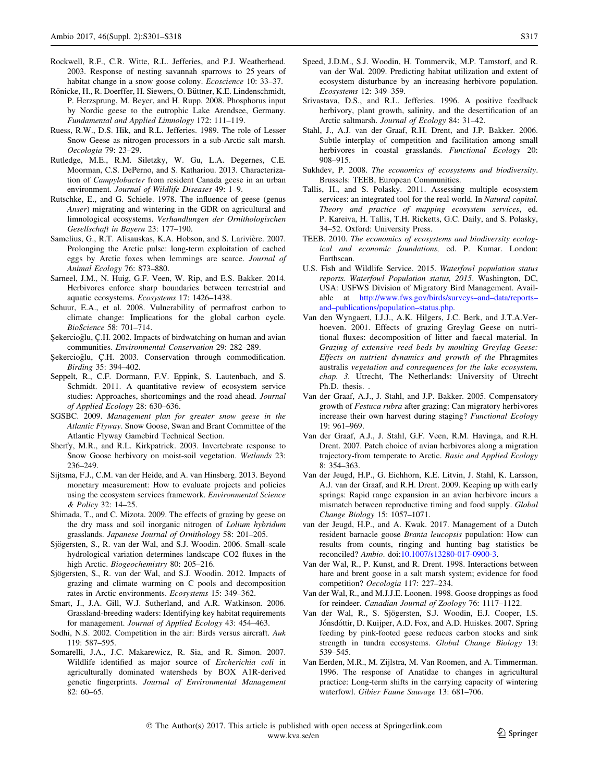- <span id="page-16-0"></span>Rockwell, R.F., C.R. Witte, R.L. Jefferies, and P.J. Weatherhead. 2003. Response of nesting savannah sparrows to 25 years of habitat change in a snow goose colony. *Ecoscience* 10: 33-37.
- Rönicke, H., R. Doerffer, H. Siewers, O. Büttner, K.E. Lindenschmidt, P. Herzsprung, M. Beyer, and H. Rupp. 2008. Phosphorus input by Nordic geese to the eutrophic Lake Arendsee, Germany. Fundamental and Applied Limnology 172: 111–119.
- Ruess, R.W., D.S. Hik, and R.L. Jefferies. 1989. The role of Lesser Snow Geese as nitrogen processors in a sub-Arctic salt marsh. Oecologia 79: 23–29.
- Rutledge, M.E., R.M. Siletzky, W. Gu, L.A. Degernes, C.E. Moorman, C.S. DePerno, and S. Kathariou. 2013. Characterization of Campylobacter from resident Canada geese in an urban environment. Journal of Wildlife Diseases 49: 1–9.
- Rutschke, E., and G. Schiele. 1978. The influence of geese (genus Anser) migrating and wintering in the GDR on agricultural and limnological ecosystems. Verhandlungen der Ornithologischen Gesellschaft in Bayern 23: 177–190.
- Samelius, G., R.T. Alisauskas, K.A. Hobson, and S. Larivière. 2007. Prolonging the Arctic pulse: long-term exploitation of cached eggs by Arctic foxes when lemmings are scarce. Journal of Animal Ecology 76: 873–880.
- Sarneel, J.M., N. Huig, G.F. Veen, W. Rip, and E.S. Bakker. 2014. Herbivores enforce sharp boundaries between terrestrial and aquatic ecosystems. Ecosystems 17: 1426–1438.
- Schuur, E.A., et al. 2008. Vulnerability of permafrost carbon to climate change: Implications for the global carbon cycle. BioScience 58: 701–714.
- Şekercioğlu, Ç.H. 2002. Impacts of birdwatching on human and avian communities. Environmental Conservation 29: 282–289.
- Şekercioğlu, Ç.H. 2003. Conservation through commodification. Birding 35: 394–402.
- Seppelt, R., C.F. Dormann, F.V. Eppink, S. Lautenbach, and S. Schmidt. 2011. A quantitative review of ecosystem service studies: Approaches, shortcomings and the road ahead. Journal of Applied Ecology 28: 630–636.
- SGSBC. 2009. Management plan for greater snow geese in the Atlantic Flyway. Snow Goose, Swan and Brant Committee of the Atlantic Flyway Gamebird Technical Section.
- Sherfy, M.R., and R.L. Kirkpatrick. 2003. Invertebrate response to Snow Goose herbivory on moist-soil vegetation. Wetlands 23: 236–249.
- Sijtsma, F.J., C.M. van der Heide, and A. van Hinsberg. 2013. Beyond monetary measurement: How to evaluate projects and policies using the ecosystem services framework. Environmental Science & Policy 32: 14–25.
- Shimada, T., and C. Mizota. 2009. The effects of grazing by geese on the dry mass and soil inorganic nitrogen of Lolium hybridum grasslands. Japanese Journal of Ornithology 58: 201–205.
- Sjögersten, S., R. van der Wal, and S.J. Woodin. 2006. Small–scale hydrological variation determines landscape CO2 fluxes in the high Arctic. Biogeochemistry 80: 205–216.
- Sjögersten, S., R. van der Wal, and S.J. Woodin. 2012. Impacts of grazing and climate warming on C pools and decomposition rates in Arctic environments. Ecosystems 15: 349–362.
- Smart, J., J.A. Gill, W.J. Sutherland, and A.R. Watkinson. 2006. Grassland-breeding waders: Identifying key habitat requirements for management. Journal of Applied Ecology 43: 454–463.
- Sodhi, N.S. 2002. Competition in the air: Birds versus aircraft. Auk 119: 587–595.
- Somarelli, J.A., J.C. Makarewicz, R. Sia, and R. Simon. 2007. Wildlife identified as major source of Escherichia coli in agriculturally dominated watersheds by BOX A1R-derived genetic fingerprints. Journal of Environmental Management 82: 60–65.
- Speed, J.D.M., S.J. Woodin, H. Tommervik, M.P. Tamstorf, and R. van der Wal. 2009. Predicting habitat utilization and extent of ecosystem disturbance by an increasing herbivore population. Ecosystems 12: 349–359.
- Srivastava, D.S., and R.L. Jefferies. 1996. A positive feedback herbivory, plant growth, salinity, and the desertification of an Arctic saltmarsh. Journal of Ecology 84: 31–42.
- Stahl, J., A.J. van der Graaf, R.H. Drent, and J.P. Bakker. 2006. Subtle interplay of competition and facilitation among small herbivores in coastal grasslands. Functional Ecology 20: 908–915.
- Sukhdev, P. 2008. The economics of ecosystems and biodiversity. Brussels: TEEB, European Communities.
- Tallis, H., and S. Polasky. 2011. Assessing multiple ecosystem services: an integrated tool for the real world. In Natural capital. Theory and practice of mapping ecosystem services, ed. P. Kareiva, H. Tallis, T.H. Ricketts, G.C. Daily, and S. Polasky, 34–52. Oxford: University Press.
- TEEB. 2010. The economics of ecosystems and biodiversity ecological and economic foundations, ed. P. Kumar. London: Earthscan.
- U.S. Fish and Wildlife Service. 2015. Waterfowl population status reports. Waterfowl Population status, 2015. Washington, DC, USA: USFWS Division of Migratory Bird Management. Available at [http://www.fws.gov/birds/surveys–and–data/reports–](http://www.fws.gov/birds/surveys%e2%80%93and%e2%80%93data/reports%e2%80%93and%e2%80%93publications/population%e2%80%93status.php) [and–publications/population–status.php](http://www.fws.gov/birds/surveys%e2%80%93and%e2%80%93data/reports%e2%80%93and%e2%80%93publications/population%e2%80%93status.php).
- Van den Wyngaert, I.J.J., A.K. Hilgers, J.C. Berk, and J.T.A.Verhoeven. 2001. Effects of grazing Greylag Geese on nutritional fluxes: decomposition of litter and faecal material. In Grazing of extensive reed beds by moulting Greylag Geese: Effects on nutrient dynamics and growth of the Phragmites australis vegetation and consequences for the lake ecosystem, chap. 3. Utrecht, The Netherlands: University of Utrecht Ph.D. thesis. .
- Van der Graaf, A.J., J. Stahl, and J.P. Bakker. 2005. Compensatory growth of Festuca rubra after grazing: Can migratory herbivores increase their own harvest during staging? Functional Ecology 19: 961–969.
- Van der Graaf, A.J., J. Stahl, G.F. Veen, R.M. Havinga, and R.H. Drent. 2007. Patch choice of avian herbivores along a migration trajectory-from temperate to Arctic. Basic and Applied Ecology 8: 354–363.
- Van der Jeugd, H.P., G. Eichhorn, K.E. Litvin, J. Stahl, K. Larsson, A.J. van der Graaf, and R.H. Drent. 2009. Keeping up with early springs: Rapid range expansion in an avian herbivore incurs a mismatch between reproductive timing and food supply. Global Change Biology 15: 1057–1071.
- van der Jeugd, H.P., and A. Kwak. 2017. Management of a Dutch resident barnacle goose Branta leucopsis population: How can results from counts, ringing and hunting bag statistics be reconciled? Ambio. doi:[10.1007/s13280-017-0900-3](http://dx.doi.org/10.1007/s13280-017-0900-3).
- Van der Wal, R., P. Kunst, and R. Drent. 1998. Interactions between hare and brent goose in a salt marsh system; evidence for food competition? Oecologia 117: 227–234.
- Van der Wal, R., and M.J.J.E. Loonen. 1998. Goose droppings as food for reindeer. Canadian Journal of Zoology 76: 1117–1122.
- Van der Wal, R., S. Sjögersten, S.J. Woodin, E.J. Cooper, I.S. Jónsdóttir, D. Kuijper, A.D. Fox, and A.D. Huiskes. 2007. Spring feeding by pink-footed geese reduces carbon stocks and sink strength in tundra ecosystems. Global Change Biology 13: 539–545.
- Van Eerden, M.R., M. Zijlstra, M. Van Roomen, and A. Timmerman. 1996. The response of Anatidae to changes in agricultural practice: Long-term shifts in the carrying capacity of wintering waterfowl. Gibier Faune Sauvage 13: 681–706.